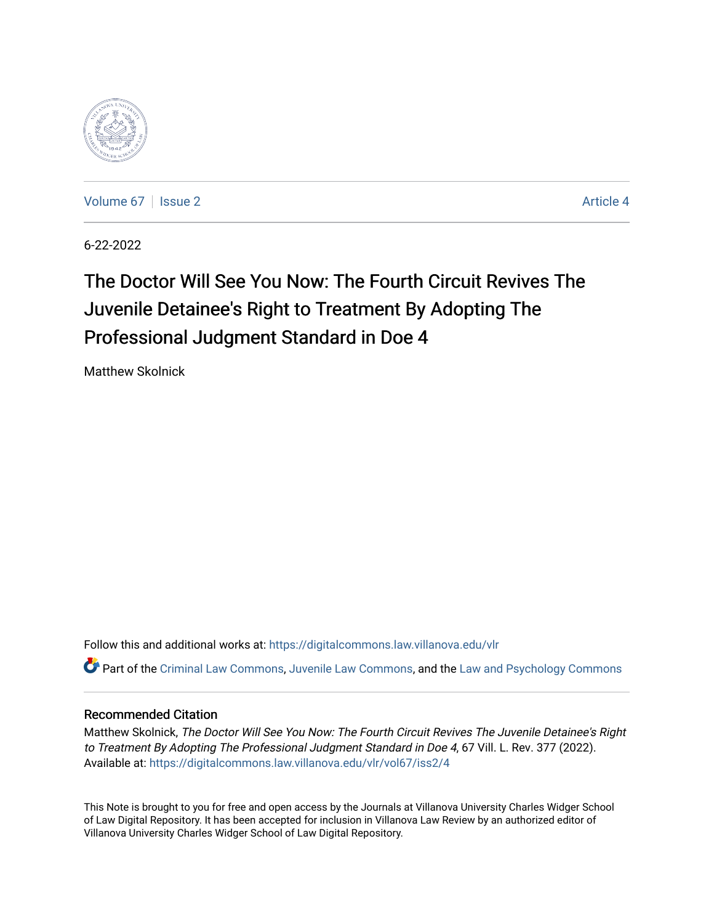

[Volume 67](https://digitalcommons.law.villanova.edu/vlr/vol67) | [Issue 2](https://digitalcommons.law.villanova.edu/vlr/vol67/iss2) Article 4

6-22-2022

# The Doctor Will See You Now: The Fourth Circuit Revives The Juvenile Detainee's Right to Treatment By Adopting The Professional Judgment Standard in Doe 4

Matthew Skolnick

Follow this and additional works at: [https://digitalcommons.law.villanova.edu/vlr](https://digitalcommons.law.villanova.edu/vlr?utm_source=digitalcommons.law.villanova.edu%2Fvlr%2Fvol67%2Fiss2%2F4&utm_medium=PDF&utm_campaign=PDFCoverPages)

Part of the [Criminal Law Commons,](https://network.bepress.com/hgg/discipline/912?utm_source=digitalcommons.law.villanova.edu%2Fvlr%2Fvol67%2Fiss2%2F4&utm_medium=PDF&utm_campaign=PDFCoverPages) [Juvenile Law Commons](https://network.bepress.com/hgg/discipline/851?utm_source=digitalcommons.law.villanova.edu%2Fvlr%2Fvol67%2Fiss2%2F4&utm_medium=PDF&utm_campaign=PDFCoverPages), and the [Law and Psychology Commons](https://network.bepress.com/hgg/discipline/870?utm_source=digitalcommons.law.villanova.edu%2Fvlr%2Fvol67%2Fiss2%2F4&utm_medium=PDF&utm_campaign=PDFCoverPages) 

### Recommended Citation

Matthew Skolnick, The Doctor Will See You Now: The Fourth Circuit Revives The Juvenile Detainee's Right to Treatment By Adopting The Professional Judgment Standard in Doe 4, 67 Vill. L. Rev. 377 (2022). Available at: [https://digitalcommons.law.villanova.edu/vlr/vol67/iss2/4](https://digitalcommons.law.villanova.edu/vlr/vol67/iss2/4?utm_source=digitalcommons.law.villanova.edu%2Fvlr%2Fvol67%2Fiss2%2F4&utm_medium=PDF&utm_campaign=PDFCoverPages) 

This Note is brought to you for free and open access by the Journals at Villanova University Charles Widger School of Law Digital Repository. It has been accepted for inclusion in Villanova Law Review by an authorized editor of Villanova University Charles Widger School of Law Digital Repository.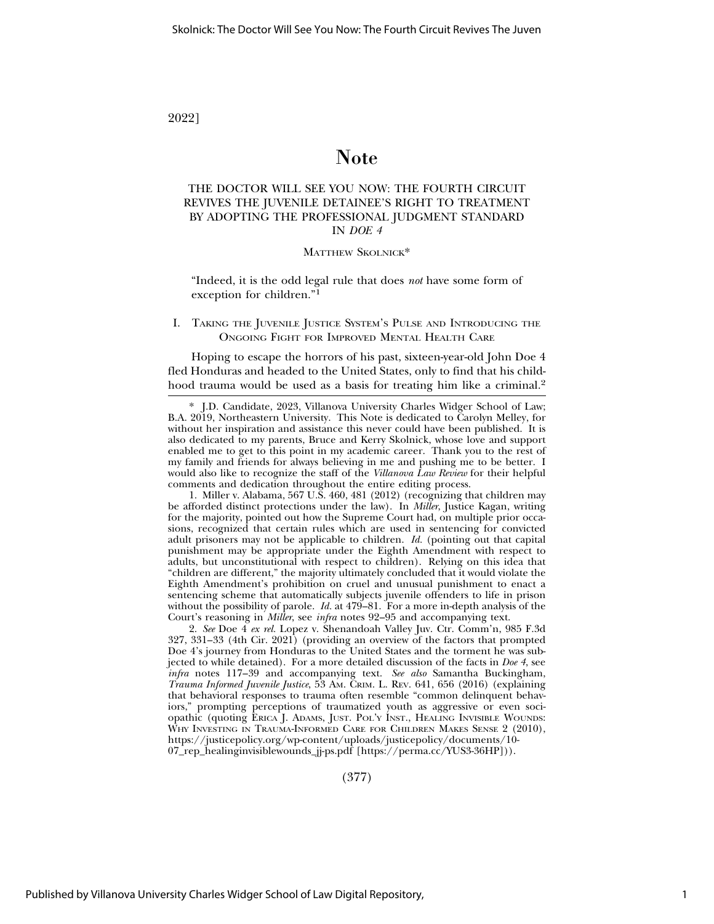### 2022]

## Note

### THE DOCTOR WILL SEE YOU NOW: THE FOURTH CIRCUIT REVIVES THE JUVENILE DETAINEE'S RIGHT TO TREATMENT BY ADOPTING THE PROFESSIONAL JUDGMENT STANDARD IN *DOE 4*

#### MATTHEW SKOLNICK\*

"Indeed, it is the odd legal rule that does *not* have some form of exception for children."<sup>1</sup>

#### I. TAKING THE JUVENILE JUSTICE SYSTEM'S PULSE AND INTRODUCING THE ONGOING FIGHT FOR IMPROVED MENTAL HEALTH CARE

Hoping to escape the horrors of his past, sixteen-year-old John Doe 4 fled Honduras and headed to the United States, only to find that his childhood trauma would be used as a basis for treating him like a criminal.<sup>2</sup>

1. Miller v. Alabama, 567 U.S. 460, 481 (2012) (recognizing that children may be afforded distinct protections under the law). In *Miller*, Justice Kagan, writing for the majority, pointed out how the Supreme Court had, on multiple prior occasions, recognized that certain rules which are used in sentencing for convicted adult prisoners may not be applicable to children. *Id.* (pointing out that capital punishment may be appropriate under the Eighth Amendment with respect to adults, but unconstitutional with respect to children). Relying on this idea that "children are different," the majority ultimately concluded that it would violate the Eighth Amendment's prohibition on cruel and unusual punishment to enact a sentencing scheme that automatically subjects juvenile offenders to life in prison without the possibility of parole. *Id.* at 479–81. For a more in-depth analysis of the Court's reasoning in *Miller*, see *infra* notes 92–95 and accompanying text.

2. *See* Doe 4 *ex rel.* Lopez v. Shenandoah Valley Juv. Ctr. Comm'n, 985 F.3d 327, 331–33 (4th Cir. 2021) (providing an overview of the factors that prompted Doe 4's journey from Honduras to the United States and the torment he was subjected to while detained). For a more detailed discussion of the facts in *Doe 4*, see *infra* notes 117–39 and accompanying text. *See also* Samantha Buckingham, *Trauma Informed Juvenile Justice*, 53 AM. CRIM. L. REV. 641, 656 (2016) (explaining that behavioral responses to trauma often resemble "common delinquent behaviors," prompting perceptions of traumatized youth as aggressive or even sociopathic (quoting ERICA J. ADAMS, JUST. POL'Y INST., HEALING INVISIBLE WOUNDS: WHY INVESTING IN TRAUMA-INFORMED CARE FOR CHILDREN MAKES SENSE 2 (2010), https://justicepolicy.org/wp-content/uploads/justicepolicy/documents/10- 07\_rep\_healinginvisiblewounds\_jj-ps.pdf [https://perma.cc/YUS3-36HP])).

(377)

<sup>\*</sup> J.D. Candidate, 2023, Villanova University Charles Widger School of Law; B.A. 2019, Northeastern University. This Note is dedicated to Carolyn Melley, for without her inspiration and assistance this never could have been published. It is also dedicated to my parents, Bruce and Kerry Skolnick, whose love and support enabled me to get to this point in my academic career. Thank you to the rest of my family and friends for always believing in me and pushing me to be better. I would also like to recognize the staff of the *Villanova Law Review* for their helpful comments and dedication throughout the entire editing process.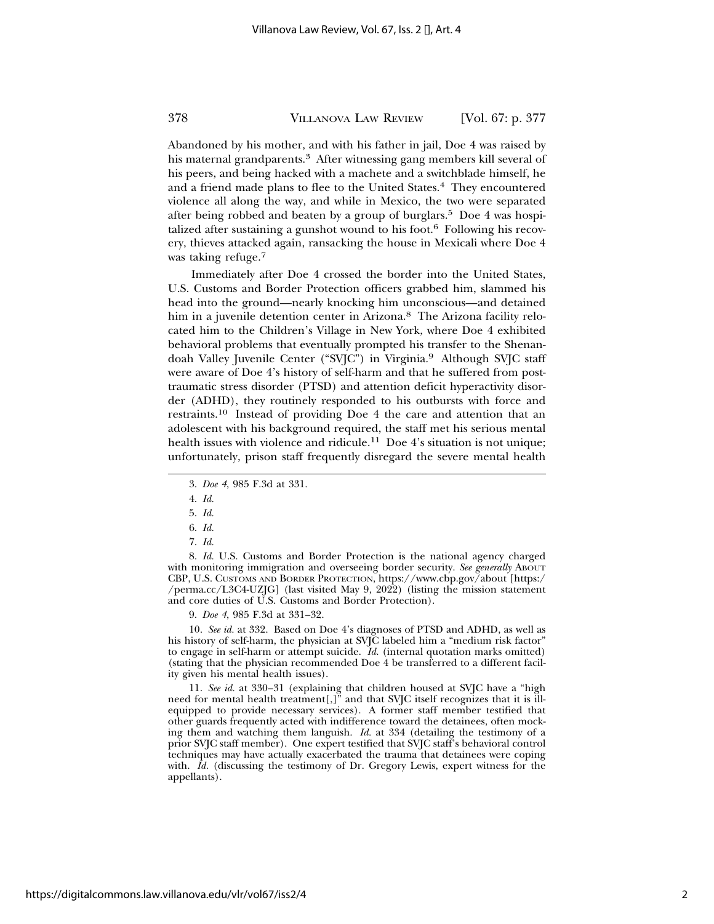Abandoned by his mother, and with his father in jail, Doe 4 was raised by his maternal grandparents.3 After witnessing gang members kill several of his peers, and being hacked with a machete and a switchblade himself, he and a friend made plans to flee to the United States.4 They encountered violence all along the way, and while in Mexico, the two were separated after being robbed and beaten by a group of burglars.<sup>5</sup> Doe 4 was hospitalized after sustaining a gunshot wound to his foot. $6$  Following his recovery, thieves attacked again, ransacking the house in Mexicali where Doe 4 was taking refuge.<sup>7</sup>

Immediately after Doe 4 crossed the border into the United States, U.S. Customs and Border Protection officers grabbed him, slammed his head into the ground—nearly knocking him unconscious—and detained him in a juvenile detention center in Arizona.<sup>8</sup> The Arizona facility relocated him to the Children's Village in New York, where Doe 4 exhibited behavioral problems that eventually prompted his transfer to the Shenandoah Valley Juvenile Center ("SVJC") in Virginia.9 Although SVJC staff were aware of Doe 4's history of self-harm and that he suffered from posttraumatic stress disorder (PTSD) and attention deficit hyperactivity disorder (ADHD), they routinely responded to his outbursts with force and restraints.10 Instead of providing Doe 4 the care and attention that an adolescent with his background required, the staff met his serious mental health issues with violence and ridicule.<sup>11</sup> Doe 4's situation is not unique; unfortunately, prison staff frequently disregard the severe mental health

8. *Id.* U.S. Customs and Border Protection is the national agency charged with monitoring immigration and overseeing border security. See generally ABOUT CBP, U.S. CUSTOMS AND BORDER PROTECTION, https://www.cbp.gov/about [https:/ /perma.cc/L3C4-UZJG] (last visited May 9, 2022) (listing the mission statement and core duties of U.S. Customs and Border Protection).

9. *Doe 4*, 985 F.3d at 331–32.

10. *See id.* at 332. Based on Doe 4's diagnoses of PTSD and ADHD, as well as his history of self-harm, the physician at SVJC labeled him a "medium risk factor" to engage in self-harm or attempt suicide. *Id.* (internal quotation marks omitted) (stating that the physician recommended Doe 4 be transferred to a different facility given his mental health issues).

11. *See id.* at 330–31 (explaining that children housed at SVJC have a "high need for mental health treatment[,]" and that SVJC itself recognizes that it is illequipped to provide necessary services). A former staff member testified that other guards frequently acted with indifference toward the detainees, often mocking them and watching them languish. *Id.* at 334 (detailing the testimony of a prior SVJC staff member). One expert testified that SVJC staff's behavioral control techniques may have actually exacerbated the trauma that detainees were coping with. *Id.* (discussing the testimony of Dr. Gregory Lewis, expert witness for the appellants).

<sup>3.</sup> *Doe 4*, 985 F.3d at 331.

<sup>4.</sup> *Id.*

<sup>5.</sup> *Id.*

<sup>6.</sup> *Id.*

<sup>7.</sup> *Id.*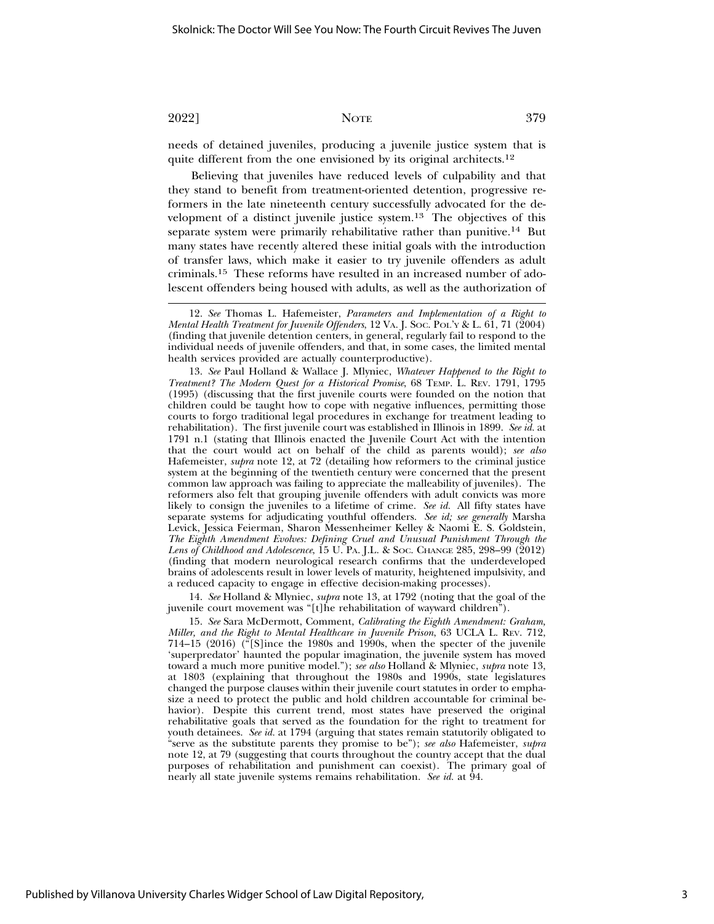needs of detained juveniles, producing a juvenile justice system that is quite different from the one envisioned by its original architects.<sup>12</sup>

Believing that juveniles have reduced levels of culpability and that they stand to benefit from treatment-oriented detention, progressive reformers in the late nineteenth century successfully advocated for the development of a distinct juvenile justice system.13 The objectives of this separate system were primarily rehabilitative rather than punitive.14 But many states have recently altered these initial goals with the introduction of transfer laws, which make it easier to try juvenile offenders as adult criminals.15 These reforms have resulted in an increased number of adolescent offenders being housed with adults, as well as the authorization of

13. *See* Paul Holland & Wallace J. Mlyniec, *Whatever Happened to the Right to Treatment? The Modern Quest for a Historical Promise*, 68 TEMP. L. REV. 1791, 1795 (1995) (discussing that the first juvenile courts were founded on the notion that children could be taught how to cope with negative influences, permitting those courts to forgo traditional legal procedures in exchange for treatment leading to rehabilitation). The first juvenile court was established in Illinois in 1899. *See id.* at 1791 n.1 (stating that Illinois enacted the Juvenile Court Act with the intention that the court would act on behalf of the child as parents would); *see also* Hafemeister, *supra* note 12, at 72 (detailing how reformers to the criminal justice system at the beginning of the twentieth century were concerned that the present common law approach was failing to appreciate the malleability of juveniles). The reformers also felt that grouping juvenile offenders with adult convicts was more likely to consign the juveniles to a lifetime of crime. *See id.* All fifty states have separate systems for adjudicating youthful offenders. *See id; see generally* Marsha Levick, Jessica Feierman, Sharon Messenheimer Kelley & Naomi E. S. Goldstein, *The Eighth Amendment Evolves: Defining Cruel and Unusual Punishment Through the Lens of Childhood and Adolescence*, 15 U. PA. J.L. & SOC. CHANGE 285, 298–99 (2012) (finding that modern neurological research confirms that the underdeveloped brains of adolescents result in lower levels of maturity, heightened impulsivity, and a reduced capacity to engage in effective decision-making processes).

14. *See* Holland & Mlyniec, *supra* note 13, at 1792 (noting that the goal of the juvenile court movement was "[t]he rehabilitation of wayward children").

15. *See* Sara McDermott, Comment, *Calibrating the Eighth Amendment: Graham, Miller, and the Right to Mental Healthcare in Juvenile Prison*, 63 UCLA L. REV. 712, 714–15 (2016) ("[S]ince the 1980s and 1990s, when the specter of the juvenile 'superpredator' haunted the popular imagination, the juvenile system has moved toward a much more punitive model."); *see also* Holland & Mlyniec, *supra* note 13, at 1803 (explaining that throughout the 1980s and 1990s, state legislatures changed the purpose clauses within their juvenile court statutes in order to emphasize a need to protect the public and hold children accountable for criminal behavior). Despite this current trend, most states have preserved the original rehabilitative goals that served as the foundation for the right to treatment for youth detainees. *See id.* at 1794 (arguing that states remain statutorily obligated to "serve as the substitute parents they promise to be"); *see also* Hafemeister, *supra* note 12, at 79 (suggesting that courts throughout the country accept that the dual purposes of rehabilitation and punishment can coexist). The primary goal of nearly all state juvenile systems remains rehabilitation. *See id.* at 94.

<sup>12.</sup> *See* Thomas L. Hafemeister, *Parameters and Implementation of a Right to Mental Health Treatment for Juvenile Offenders*, 12 VA. J. SOC. POL'Y & L. 61, 71 (2004) (finding that juvenile detention centers, in general, regularly fail to respond to the individual needs of juvenile offenders, and that, in some cases, the limited mental health services provided are actually counterproductive).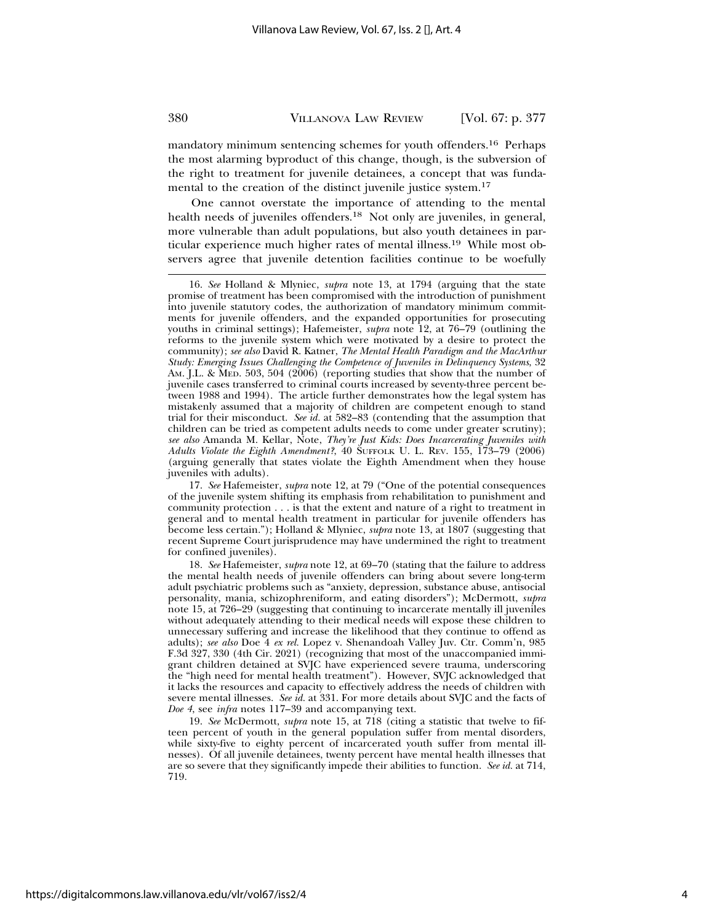mandatory minimum sentencing schemes for youth offenders.16 Perhaps the most alarming byproduct of this change, though, is the subversion of the right to treatment for juvenile detainees, a concept that was fundamental to the creation of the distinct juvenile justice system.<sup>17</sup>

One cannot overstate the importance of attending to the mental health needs of juveniles offenders.18 Not only are juveniles, in general, more vulnerable than adult populations, but also youth detainees in particular experience much higher rates of mental illness.19 While most observers agree that juvenile detention facilities continue to be woefully

17. *See* Hafemeister, *supra* note 12, at 79 ("One of the potential consequences of the juvenile system shifting its emphasis from rehabilitation to punishment and community protection . . . is that the extent and nature of a right to treatment in general and to mental health treatment in particular for juvenile offenders has become less certain."); Holland & Mlyniec, *supra* note 13, at 1807 (suggesting that recent Supreme Court jurisprudence may have undermined the right to treatment for confined juveniles).

18. *See* Hafemeister, *supra* note 12, at 69–70 (stating that the failure to address the mental health needs of juvenile offenders can bring about severe long-term adult psychiatric problems such as "anxiety, depression, substance abuse, antisocial personality, mania, schizophreniform, and eating disorders"); McDermott, *supra* note 15, at 726–29 (suggesting that continuing to incarcerate mentally ill juveniles without adequately attending to their medical needs will expose these children to unnecessary suffering and increase the likelihood that they continue to offend as adults); *see also* Doe 4 *ex rel.* Lopez v. Shenandoah Valley Juv. Ctr. Comm'n, 985 F.3d 327, 330 (4th Cir. 2021) (recognizing that most of the unaccompanied immigrant children detained at SVJC have experienced severe trauma, underscoring the "high need for mental health treatment"). However, SVJC acknowledged that it lacks the resources and capacity to effectively address the needs of children with severe mental illnesses. *See id.* at 331. For more details about SVJC and the facts of *Doe 4*, see *infra* notes 117–39 and accompanying text.

19. *See* McDermott, *supra* note 15, at 718 (citing a statistic that twelve to fifteen percent of youth in the general population suffer from mental disorders, while sixty-five to eighty percent of incarcerated youth suffer from mental illnesses). Of all juvenile detainees, twenty percent have mental health illnesses that are so severe that they significantly impede their abilities to function. *See id.* at 714, 719.

<sup>16.</sup> *See* Holland & Mlyniec, *supra* note 13, at 1794 (arguing that the state promise of treatment has been compromised with the introduction of punishment into juvenile statutory codes, the authorization of mandatory minimum commitments for juvenile offenders, and the expanded opportunities for prosecuting youths in criminal settings); Hafemeister, *supra* note 12, at 76–79 (outlining the reforms to the juvenile system which were motivated by a desire to protect the community); *see also* David R. Katner, *The Mental Health Paradigm and the MacArthur Study: Emerging Issues Challenging the Competence of Juveniles in Delinquency Systems*, 32 AM. J.L. & MED. 503, 504 (2006) (reporting studies that show that the number of juvenile cases transferred to criminal courts increased by seventy-three percent between 1988 and 1994). The article further demonstrates how the legal system has mistakenly assumed that a majority of children are competent enough to stand trial for their misconduct. *See id.* at 582–83 (contending that the assumption that children can be tried as competent adults needs to come under greater scrutiny); *see also* Amanda M. Kellar, Note, *They're Just Kids: Does Incarcerating Juveniles with Adults Violate the Eighth Amendment?*, 40 SUFFOLK U. L. REV. 155, 173–79 (2006) (arguing generally that states violate the Eighth Amendment when they house juveniles with adults).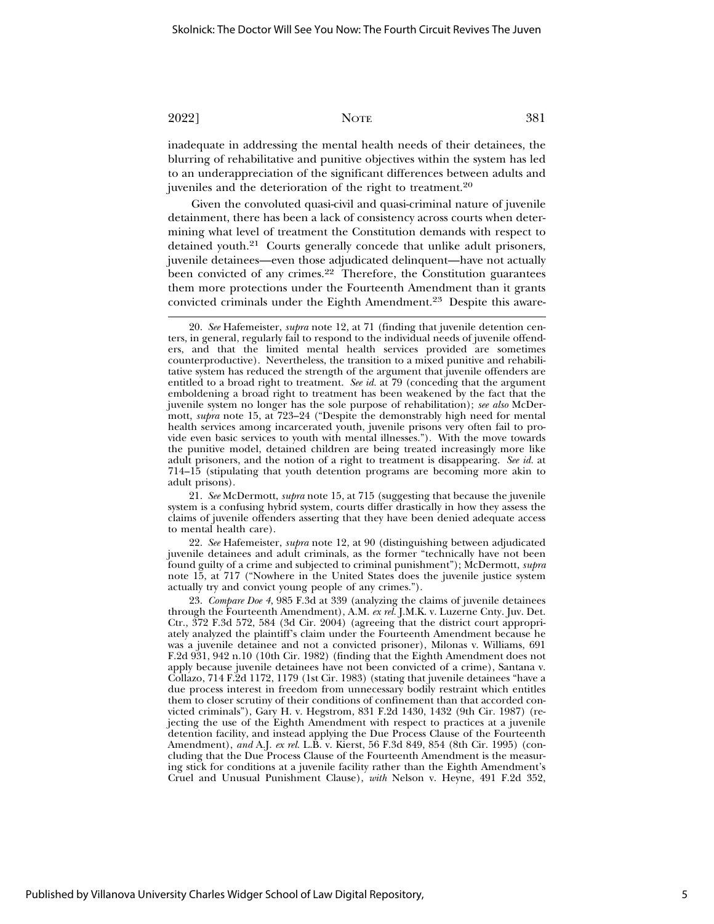inadequate in addressing the mental health needs of their detainees, the blurring of rehabilitative and punitive objectives within the system has led to an underappreciation of the significant differences between adults and juveniles and the deterioration of the right to treatment.<sup>20</sup>

Given the convoluted quasi-civil and quasi-criminal nature of juvenile detainment, there has been a lack of consistency across courts when determining what level of treatment the Constitution demands with respect to detained youth.21 Courts generally concede that unlike adult prisoners, juvenile detainees—even those adjudicated delinquent—have not actually been convicted of any crimes. $22$  Therefore, the Constitution guarantees them more protections under the Fourteenth Amendment than it grants convicted criminals under the Eighth Amendment.23 Despite this aware-

21. *See* McDermott, *supra* note 15, at 715 (suggesting that because the juvenile system is a confusing hybrid system, courts differ drastically in how they assess the claims of juvenile offenders asserting that they have been denied adequate access to mental health care).

22. *See* Hafemeister, *supra* note 12, at 90 (distinguishing between adjudicated juvenile detainees and adult criminals, as the former "technically have not been found guilty of a crime and subjected to criminal punishment"); McDermott, *supra* note 15, at 717 ("Nowhere in the United States does the juvenile justice system actually try and convict young people of any crimes.").

23. *Compare Doe 4*, 985 F.3d at 339 (analyzing the claims of juvenile detainees through the Fourteenth Amendment), A.M. *ex rel.* J.M.K. v. Luzerne Cnty. Juv. Det. Ctr., 372 F.3d 572, 584 (3d Cir. 2004) (agreeing that the district court appropriately analyzed the plaintiff's claim under the Fourteenth Amendment because he was a juvenile detainee and not a convicted prisoner), Milonas v. Williams, 691 F.2d 931, 942 n.10 (10th Cir. 1982) (finding that the Eighth Amendment does not apply because juvenile detainees have not been convicted of a crime), Santana v. Collazo, 714 F.2d 1172, 1179 (1st Cir. 1983) (stating that juvenile detainees "have a due process interest in freedom from unnecessary bodily restraint which entitles them to closer scrutiny of their conditions of confinement than that accorded convicted criminals"), Gary H. v. Hegstrom, 831 F.2d 1430, 1432 (9th Cir. 1987) (rejecting the use of the Eighth Amendment with respect to practices at a juvenile detention facility, and instead applying the Due Process Clause of the Fourteenth Amendment), *and* A.J. *ex rel.* L.B. v. Kierst, 56 F.3d 849, 854 (8th Cir. 1995) (concluding that the Due Process Clause of the Fourteenth Amendment is the measuring stick for conditions at a juvenile facility rather than the Eighth Amendment's Cruel and Unusual Punishment Clause), *with* Nelson v. Heyne, 491 F.2d 352,

<sup>20.</sup> *See* Hafemeister, *supra* note 12, at 71 (finding that juvenile detention centers, in general, regularly fail to respond to the individual needs of juvenile offenders, and that the limited mental health services provided are sometimes counterproductive). Nevertheless, the transition to a mixed punitive and rehabilitative system has reduced the strength of the argument that juvenile offenders are entitled to a broad right to treatment. *See id.* at 79 (conceding that the argument emboldening a broad right to treatment has been weakened by the fact that the juvenile system no longer has the sole purpose of rehabilitation); *see also* McDermott, *supra* note 15, at 723–24 ("Despite the demonstrably high need for mental health services among incarcerated youth, juvenile prisons very often fail to provide even basic services to youth with mental illnesses."). With the move towards the punitive model, detained children are being treated increasingly more like adult prisoners, and the notion of a right to treatment is disappearing. *See id.* at 714–15 (stipulating that youth detention programs are becoming more akin to adult prisons).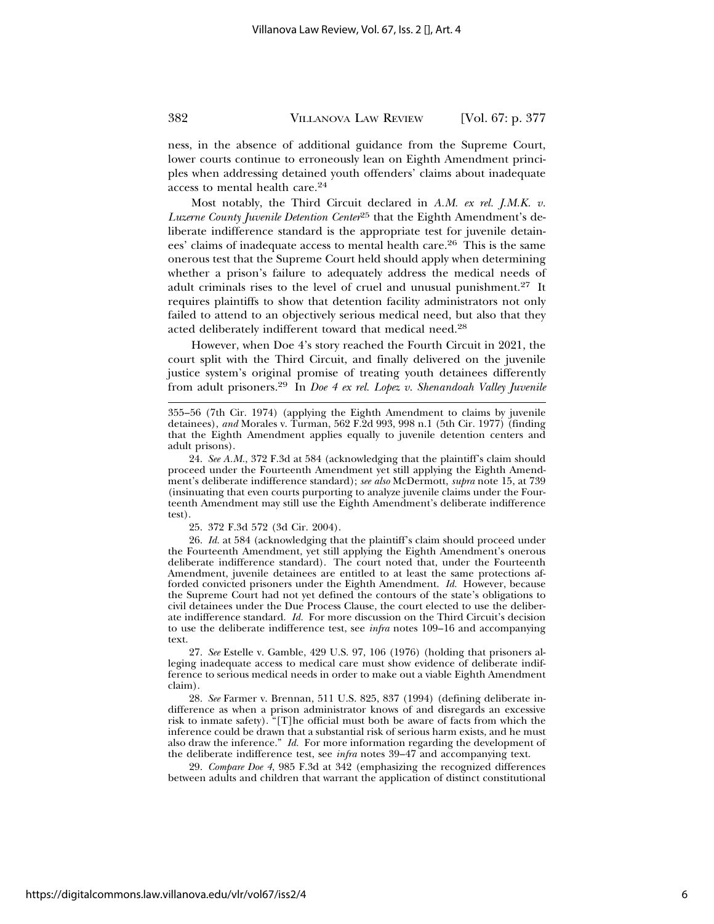ness, in the absence of additional guidance from the Supreme Court, lower courts continue to erroneously lean on Eighth Amendment principles when addressing detained youth offenders' claims about inadequate access to mental health care.24

Most notably, the Third Circuit declared in *A.M. ex rel. J.M.K. v. Luzerne County Juvenile Detention Center*25 that the Eighth Amendment's deliberate indifference standard is the appropriate test for juvenile detainees' claims of inadequate access to mental health care.26 This is the same onerous test that the Supreme Court held should apply when determining whether a prison's failure to adequately address the medical needs of adult criminals rises to the level of cruel and unusual punishment.27 It requires plaintiffs to show that detention facility administrators not only failed to attend to an objectively serious medical need, but also that they acted deliberately indifferent toward that medical need.28

However, when Doe 4's story reached the Fourth Circuit in 2021, the court split with the Third Circuit, and finally delivered on the juvenile justice system's original promise of treating youth detainees differently from adult prisoners.29 In *Doe 4 ex rel. Lopez v. Shenandoah Valley Juvenile*

25. 372 F.3d 572 (3d Cir. 2004).

26. *Id.* at 584 (acknowledging that the plaintiff's claim should proceed under the Fourteenth Amendment, yet still applying the Eighth Amendment's onerous deliberate indifference standard). The court noted that, under the Fourteenth Amendment, juvenile detainees are entitled to at least the same protections afforded convicted prisoners under the Eighth Amendment. *Id.* However, because the Supreme Court had not yet defined the contours of the state's obligations to civil detainees under the Due Process Clause, the court elected to use the deliberate indifference standard. *Id.* For more discussion on the Third Circuit's decision to use the deliberate indifference test, see *infra* notes 109–16 and accompanying text.

27. *See* Estelle v. Gamble, 429 U.S. 97, 106 (1976) (holding that prisoners alleging inadequate access to medical care must show evidence of deliberate indifference to serious medical needs in order to make out a viable Eighth Amendment claim).

28. *See* Farmer v. Brennan, 511 U.S. 825, 837 (1994) (defining deliberate indifference as when a prison administrator knows of and disregards an excessive risk to inmate safety). "[T]he official must both be aware of facts from which the inference could be drawn that a substantial risk of serious harm exists, and he must also draw the inference." *Id.* For more information regarding the development of the deliberate indifference test, see *infra* notes 39–47 and accompanying text.

29. *Compare Doe 4*, 985 F.3d at 342 (emphasizing the recognized differences between adults and children that warrant the application of distinct constitutional

<sup>355–56 (7</sup>th Cir. 1974) (applying the Eighth Amendment to claims by juvenile detainees), *and* Morales v. Turman, 562 F.2d 993, 998 n.1 (5th Cir. 1977) (finding that the Eighth Amendment applies equally to juvenile detention centers and adult prisons).

<sup>24.</sup> *See A.M.*, 372 F.3d at 584 (acknowledging that the plaintiff's claim should proceed under the Fourteenth Amendment yet still applying the Eighth Amendment's deliberate indifference standard); *see also* McDermott, *supra* note 15, at 739 (insinuating that even courts purporting to analyze juvenile claims under the Fourteenth Amendment may still use the Eighth Amendment's deliberate indifference test).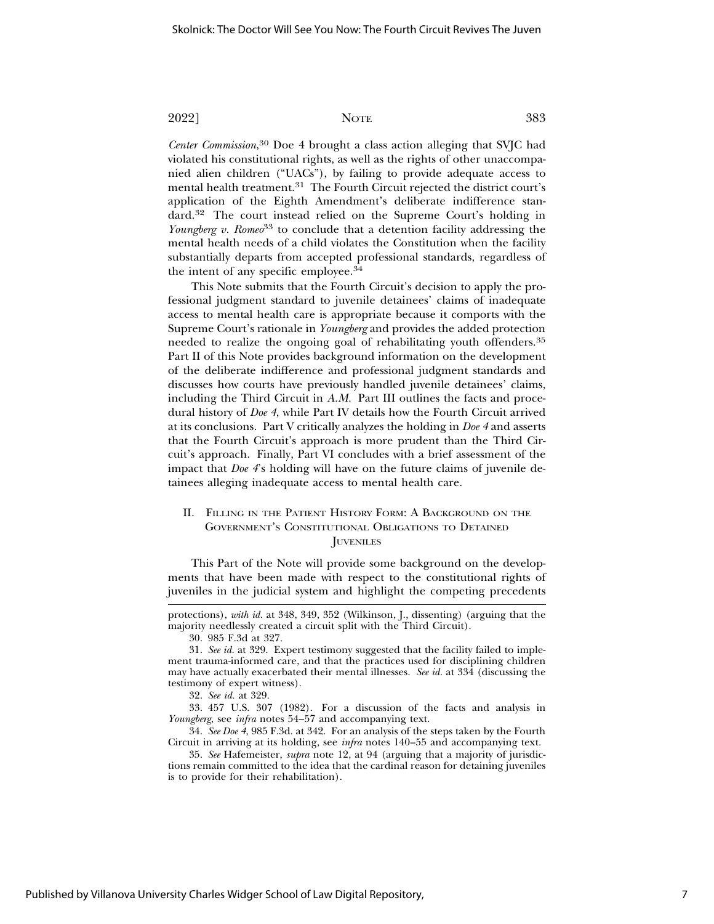*Center Commission*, 30 Doe 4 brought a class action alleging that SVJC had violated his constitutional rights, as well as the rights of other unaccompanied alien children ("UACs"), by failing to provide adequate access to mental health treatment.<sup>31</sup> The Fourth Circuit rejected the district court's application of the Eighth Amendment's deliberate indifference standard.32 The court instead relied on the Supreme Court's holding in *Youngberg v. Romeo*<sup>33</sup> to conclude that a detention facility addressing the mental health needs of a child violates the Constitution when the facility substantially departs from accepted professional standards, regardless of the intent of any specific employee.34

This Note submits that the Fourth Circuit's decision to apply the professional judgment standard to juvenile detainees' claims of inadequate access to mental health care is appropriate because it comports with the Supreme Court's rationale in *Youngberg* and provides the added protection needed to realize the ongoing goal of rehabilitating youth offenders.<sup>35</sup> Part II of this Note provides background information on the development of the deliberate indifference and professional judgment standards and discusses how courts have previously handled juvenile detainees' claims, including the Third Circuit in *A.M.* Part III outlines the facts and procedural history of *Doe 4*, while Part IV details how the Fourth Circuit arrived at its conclusions. Part V critically analyzes the holding in *Doe 4* and asserts that the Fourth Circuit's approach is more prudent than the Third Circuit's approach. Finally, Part VI concludes with a brief assessment of the impact that *Doe 4*'s holding will have on the future claims of juvenile detainees alleging inadequate access to mental health care.

#### II. FILLING IN THE PATIENT HISTORY FORM: A BACKGROUND ON THE GOVERNMENT'S CONSTITUTIONAL OBLIGATIONS TO DETAINED **JUVENILES**

This Part of the Note will provide some background on the developments that have been made with respect to the constitutional rights of juveniles in the judicial system and highlight the competing precedents

protections), *with id.* at 348, 349, 352 (Wilkinson, J., dissenting) (arguing that the majority needlessly created a circuit split with the Third Circuit).

<sup>30. 985</sup> F.3d at 327.

<sup>31.</sup> *See id.* at 329. Expert testimony suggested that the facility failed to implement trauma-informed care, and that the practices used for disciplining children may have actually exacerbated their mental illnesses. *See id.* at 334 (discussing the testimony of expert witness).

<sup>32.</sup> *See id.* at 329.

<sup>33. 457</sup> U.S. 307 (1982). For a discussion of the facts and analysis in *Youngberg*, see *infra* notes 54–57 and accompanying text.

<sup>34.</sup> *See Doe 4*, 985 F.3d. at 342. For an analysis of the steps taken by the Fourth Circuit in arriving at its holding, see *infra* notes 140–55 and accompanying text.

<sup>35.</sup> *See* Hafemeister, *supra* note 12, at 94 (arguing that a majority of jurisdictions remain committed to the idea that the cardinal reason for detaining juveniles is to provide for their rehabilitation).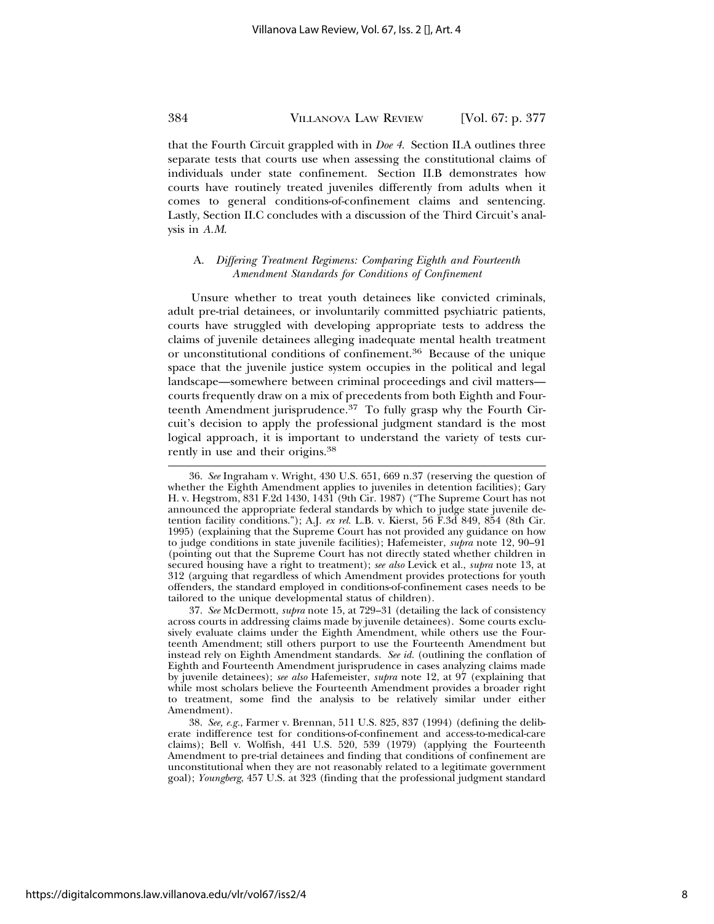that the Fourth Circuit grappled with in *Doe 4*. Section II.A outlines three separate tests that courts use when assessing the constitutional claims of individuals under state confinement. Section II.B demonstrates how courts have routinely treated juveniles differently from adults when it comes to general conditions-of-confinement claims and sentencing. Lastly, Section II.C concludes with a discussion of the Third Circuit's analysis in *A.M*.

#### A. *Differing Treatment Regimens: Comparing Eighth and Fourteenth Amendment Standards for Conditions of Confinement*

Unsure whether to treat youth detainees like convicted criminals, adult pre-trial detainees, or involuntarily committed psychiatric patients, courts have struggled with developing appropriate tests to address the claims of juvenile detainees alleging inadequate mental health treatment or unconstitutional conditions of confinement.36 Because of the unique space that the juvenile justice system occupies in the political and legal landscape—somewhere between criminal proceedings and civil matters courts frequently draw on a mix of precedents from both Eighth and Fourteenth Amendment jurisprudence. $37$  To fully grasp why the Fourth Circuit's decision to apply the professional judgment standard is the most logical approach, it is important to understand the variety of tests currently in use and their origins.38

37. *See* McDermott, *supra* note 15, at 729–31 (detailing the lack of consistency across courts in addressing claims made by juvenile detainees). Some courts exclusively evaluate claims under the Eighth Amendment, while others use the Fourteenth Amendment; still others purport to use the Fourteenth Amendment but instead rely on Eighth Amendment standards. *See id.* (outlining the conflation of Eighth and Fourteenth Amendment jurisprudence in cases analyzing claims made by juvenile detainees); *see also* Hafemeister, *supra* note 12, at 97 (explaining that while most scholars believe the Fourteenth Amendment provides a broader right to treatment, some find the analysis to be relatively similar under either Amendment).

38. *See, e.g.*, Farmer v. Brennan, 511 U.S. 825, 837 (1994) (defining the deliberate indifference test for conditions-of-confinement and access-to-medical-care claims); Bell v. Wolfish, 441 U.S. 520, 539 (1979) (applying the Fourteenth Amendment to pre-trial detainees and finding that conditions of confinement are unconstitutional when they are not reasonably related to a legitimate government goal); *Youngberg*, 457 U.S. at 323 (finding that the professional judgment standard

<sup>36.</sup> *See* Ingraham v. Wright, 430 U.S. 651, 669 n.37 (reserving the question of whether the Eighth Amendment applies to juveniles in detention facilities); Gary H. v. Hegstrom, 831 F.2d 1430, 1431 (9th Cir. 1987) ("The Supreme Court has not announced the appropriate federal standards by which to judge state juvenile detention facility conditions."); A.J. *ex rel.* L.B. v. Kierst, 56 F.3d 849, 854 (8th Cir. 1995) (explaining that the Supreme Court has not provided any guidance on how to judge conditions in state juvenile facilities); Hafemeister, *supra* note 12, 90–91 (pointing out that the Supreme Court has not directly stated whether children in secured housing have a right to treatment); *see also* Levick et al., *supra* note 13, at 312 (arguing that regardless of which Amendment provides protections for youth offenders, the standard employed in conditions-of-confinement cases needs to be tailored to the unique developmental status of children).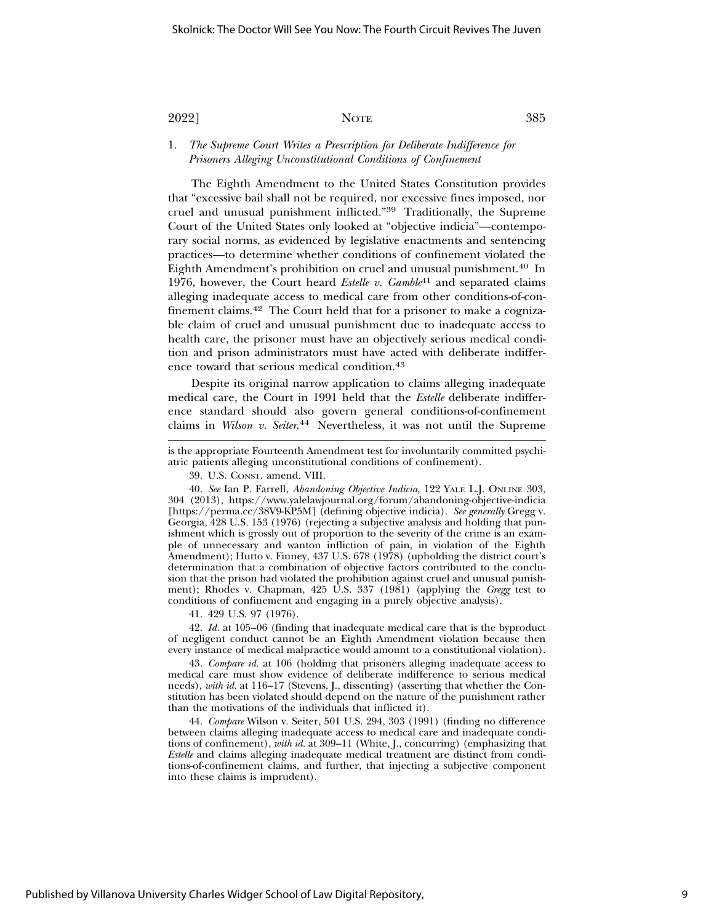1. *The Supreme Court Writes a Prescription for Deliberate Indifference for Prisoners Alleging Unconstitutional Conditions of Confinement*

The Eighth Amendment to the United States Constitution provides that "excessive bail shall not be required, nor excessive fines imposed, nor cruel and unusual punishment inflicted."39 Traditionally, the Supreme Court of the United States only looked at "objective indicia"—contemporary social norms, as evidenced by legislative enactments and sentencing practices—to determine whether conditions of confinement violated the Eighth Amendment's prohibition on cruel and unusual punishment.<sup>40</sup> In 1976, however, the Court heard *Estelle v. Gamble*41 and separated claims alleging inadequate access to medical care from other conditions-of-confinement claims.42 The Court held that for a prisoner to make a cognizable claim of cruel and unusual punishment due to inadequate access to health care, the prisoner must have an objectively serious medical condition and prison administrators must have acted with deliberate indifference toward that serious medical condition.43

Despite its original narrow application to claims alleging inadequate medical care, the Court in 1991 held that the *Estelle* deliberate indifference standard should also govern general conditions-of-confinement claims in *Wilson v. Seiter*. 44 Nevertheless, it was not until the Supreme

39. U.S. CONST. amend. VIII.

40. *See* Ian P. Farrell, *Abandoning Objective Indicia*, 122 YALE L.J. ONLINE 303, 304 (2013), https://www.yalelawjournal.org/forum/abandoning-objective-indicia [https://perma.cc/38V9-KP5M] (defining objective indicia). *See generally* Gregg v. Georgia, 428 U.S. 153 (1976) (rejecting a subjective analysis and holding that punishment which is grossly out of proportion to the severity of the crime is an example of unnecessary and wanton infliction of pain, in violation of the Eighth Amendment); Hutto v. Finney, 437 U.S. 678 (1978) (upholding the district court's determination that a combination of objective factors contributed to the conclusion that the prison had violated the prohibition against cruel and unusual punishment); Rhodes v. Chapman, 425 U.S. 337 (1981) (applying the *Gregg* test to conditions of confinement and engaging in a purely objective analysis).

41. 429 U.S. 97 (1976).

42. *Id.* at 105–06 (finding that inadequate medical care that is the byproduct of negligent conduct cannot be an Eighth Amendment violation because then every instance of medical malpractice would amount to a constitutional violation).

43. *Compare id.* at 106 (holding that prisoners alleging inadequate access to medical care must show evidence of deliberate indifference to serious medical needs), *with id.* at 116–17 (Stevens, J., dissenting) (asserting that whether the Constitution has been violated should depend on the nature of the punishment rather than the motivations of the individuals that inflicted it).

44. *Compare* Wilson v. Seiter, 501 U.S. 294, 303 (1991) (finding no difference between claims alleging inadequate access to medical care and inadequate conditions of confinement), *with id.* at 309–11 (White, J., concurring) (emphasizing that *Estelle* and claims alleging inadequate medical treatment are distinct from conditions-of-confinement claims, and further, that injecting a subjective component into these claims is imprudent).

is the appropriate Fourteenth Amendment test for involuntarily committed psychiatric patients alleging unconstitutional conditions of confinement).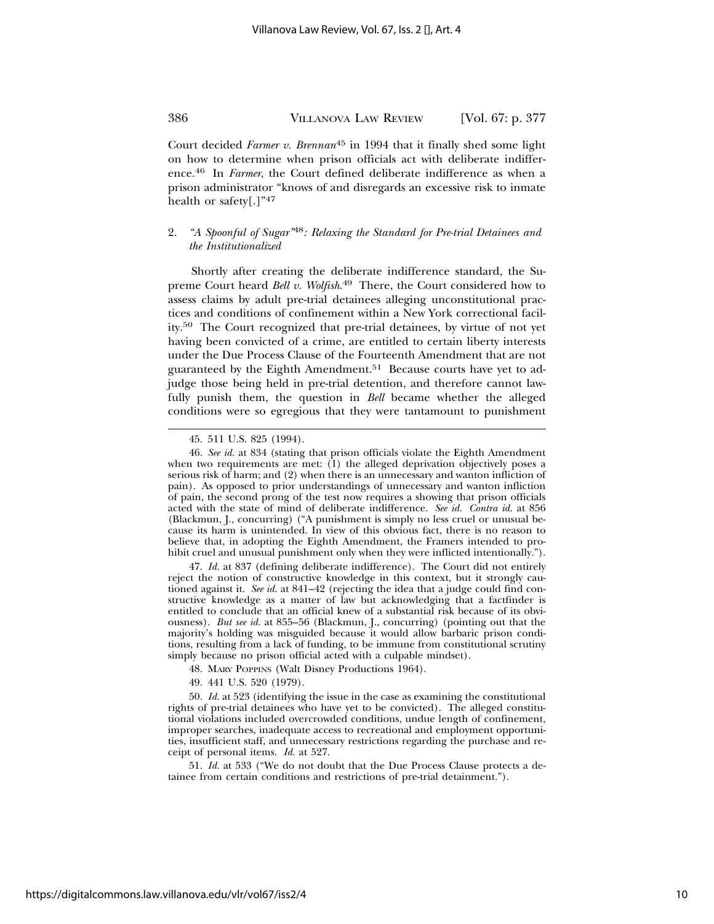Court decided *Farmer v. Brennan*45 in 1994 that it finally shed some light on how to determine when prison officials act with deliberate indifference.46 In *Farmer*, the Court defined deliberate indifference as when a prison administrator "knows of and disregards an excessive risk to inmate health or safety[.]"47

### 2. *"A Spoonful of Sugar"*48*: Relaxing the Standard for Pre-trial Detainees and the Institutionalized*

Shortly after creating the deliberate indifference standard, the Supreme Court heard *Bell v. Wolfish*. 49 There, the Court considered how to assess claims by adult pre-trial detainees alleging unconstitutional practices and conditions of confinement within a New York correctional facility.50 The Court recognized that pre-trial detainees, by virtue of not yet having been convicted of a crime, are entitled to certain liberty interests under the Due Process Clause of the Fourteenth Amendment that are not guaranteed by the Eighth Amendment.<sup>51</sup> Because courts have yet to adjudge those being held in pre-trial detention, and therefore cannot lawfully punish them, the question in *Bell* became whether the alleged conditions were so egregious that they were tantamount to punishment

47. *Id.* at 837 (defining deliberate indifference). The Court did not entirely reject the notion of constructive knowledge in this context, but it strongly cautioned against it. *See id.* at 841–42 (rejecting the idea that a judge could find constructive knowledge as a matter of law but acknowledging that a factfinder is entitled to conclude that an official knew of a substantial risk because of its obviousness). *But see id.* at 855–56 (Blackmun, J., concurring) (pointing out that the majority's holding was misguided because it would allow barbaric prison conditions, resulting from a lack of funding, to be immune from constitutional scrutiny simply because no prison official acted with a culpable mindset).

50. *Id.* at 523 (identifying the issue in the case as examining the constitutional rights of pre-trial detainees who have yet to be convicted). The alleged constitutional violations included overcrowded conditions, undue length of confinement, improper searches, inadequate access to recreational and employment opportunities, insufficient staff, and unnecessary restrictions regarding the purchase and receipt of personal items. *Id.* at 527.

51. *Id.* at 533 ("We do not doubt that the Due Process Clause protects a detainee from certain conditions and restrictions of pre-trial detainment.").

<sup>45. 511</sup> U.S. 825 (1994).

<sup>46.</sup> *See id.* at 834 (stating that prison officials violate the Eighth Amendment when two requirements are met: (1) the alleged deprivation objectively poses a serious risk of harm; and (2) when there is an unnecessary and wanton infliction of pain). As opposed to prior understandings of unnecessary and wanton infliction of pain, the second prong of the test now requires a showing that prison officials acted with the state of mind of deliberate indifference. *See id. Contra id.* at 856 (Blackmun, J., concurring) ("A punishment is simply no less cruel or unusual because its harm is unintended. In view of this obvious fact, there is no reason to believe that, in adopting the Eighth Amendment, the Framers intended to prohibit cruel and unusual punishment only when they were inflicted intentionally.").

<sup>48.</sup> MARY POPPINS (Walt Disney Productions 1964).

<sup>49. 441</sup> U.S. 520 (1979).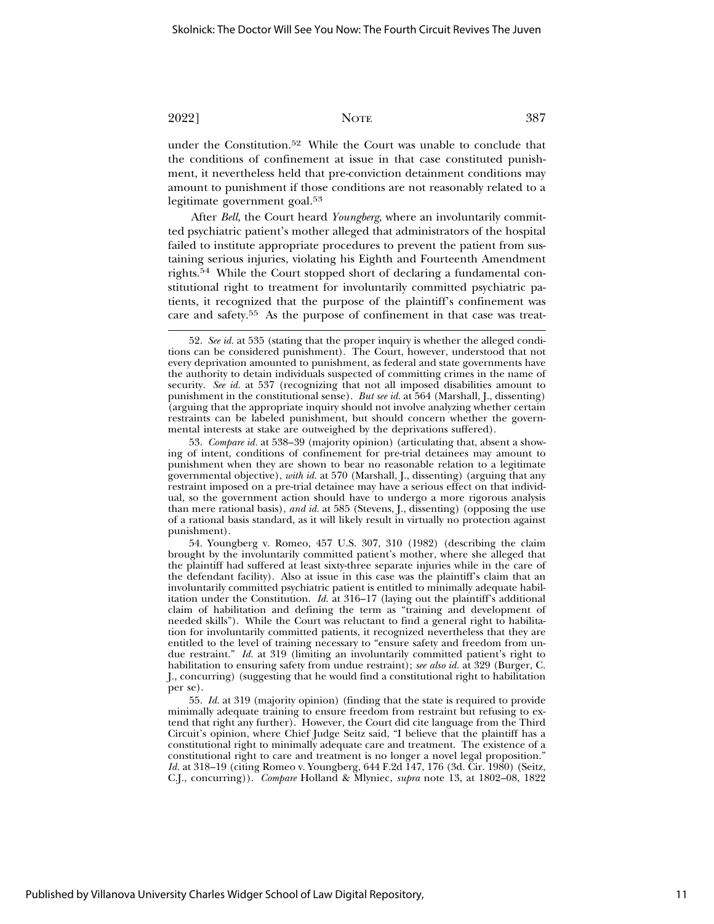under the Constitution.52 While the Court was unable to conclude that the conditions of confinement at issue in that case constituted punishment, it nevertheless held that pre-conviction detainment conditions may amount to punishment if those conditions are not reasonably related to a legitimate government goal.53

After *Bell*, the Court heard *Youngberg*, where an involuntarily committed psychiatric patient's mother alleged that administrators of the hospital failed to institute appropriate procedures to prevent the patient from sustaining serious injuries, violating his Eighth and Fourteenth Amendment rights.54 While the Court stopped short of declaring a fundamental constitutional right to treatment for involuntarily committed psychiatric patients, it recognized that the purpose of the plaintiff's confinement was care and safety.55 As the purpose of confinement in that case was treat-

<sup>52.</sup> *See id.* at 535 (stating that the proper inquiry is whether the alleged conditions can be considered punishment). The Court, however, understood that not every deprivation amounted to punishment, as federal and state governments have the authority to detain individuals suspected of committing crimes in the name of security. *See id.* at 537 (recognizing that not all imposed disabilities amount to punishment in the constitutional sense). *But see id.* at 564 (Marshall, J., dissenting) (arguing that the appropriate inquiry should not involve analyzing whether certain restraints can be labeled punishment, but should concern whether the governmental interests at stake are outweighed by the deprivations suffered).

<sup>53.</sup> *Compare id.* at 538–39 (majority opinion) (articulating that, absent a showing of intent, conditions of confinement for pre-trial detainees may amount to punishment when they are shown to bear no reasonable relation to a legitimate governmental objective), *with id.* at 570 (Marshall, J., dissenting) (arguing that any restraint imposed on a pre-trial detainee may have a serious effect on that individual, so the government action should have to undergo a more rigorous analysis than mere rational basis), *and id.* at 585 (Stevens, J., dissenting) (opposing the use of a rational basis standard, as it will likely result in virtually no protection against punishment).

<sup>54.</sup> Youngberg v. Romeo, 457 U.S. 307, 310 (1982) (describing the claim brought by the involuntarily committed patient's mother, where she alleged that the plaintiff had suffered at least sixty-three separate injuries while in the care of the defendant facility). Also at issue in this case was the plaintiff's claim that an involuntarily committed psychiatric patient is entitled to minimally adequate habilitation under the Constitution. *Id.* at 316–17 (laying out the plaintiff's additional claim of habilitation and defining the term as "training and development of needed skills"). While the Court was reluctant to find a general right to habilitation for involuntarily committed patients, it recognized nevertheless that they are entitled to the level of training necessary to "ensure safety and freedom from undue restraint." *Id.* at 319 (limiting an involuntarily committed patient's right to habilitation to ensuring safety from undue restraint); *see also id.* at 329 (Burger, C. J., concurring) (suggesting that he would find a constitutional right to habilitation per se).

<sup>55.</sup> *Id.* at 319 (majority opinion) (finding that the state is required to provide minimally adequate training to ensure freedom from restraint but refusing to extend that right any further). However, the Court did cite language from the Third Circuit's opinion, where Chief Judge Seitz said, "I believe that the plaintiff has a constitutional right to minimally adequate care and treatment. The existence of a constitutional right to care and treatment is no longer a novel legal proposition." *Id.* at 318–19 (citing Romeo v. Youngberg, 644 F.2d 147, 176 (3d. Cir. 1980) (Seitz, C.J., concurring)). *Compare* Holland & Mlyniec, *supra* note 13, at 1802–08, 1822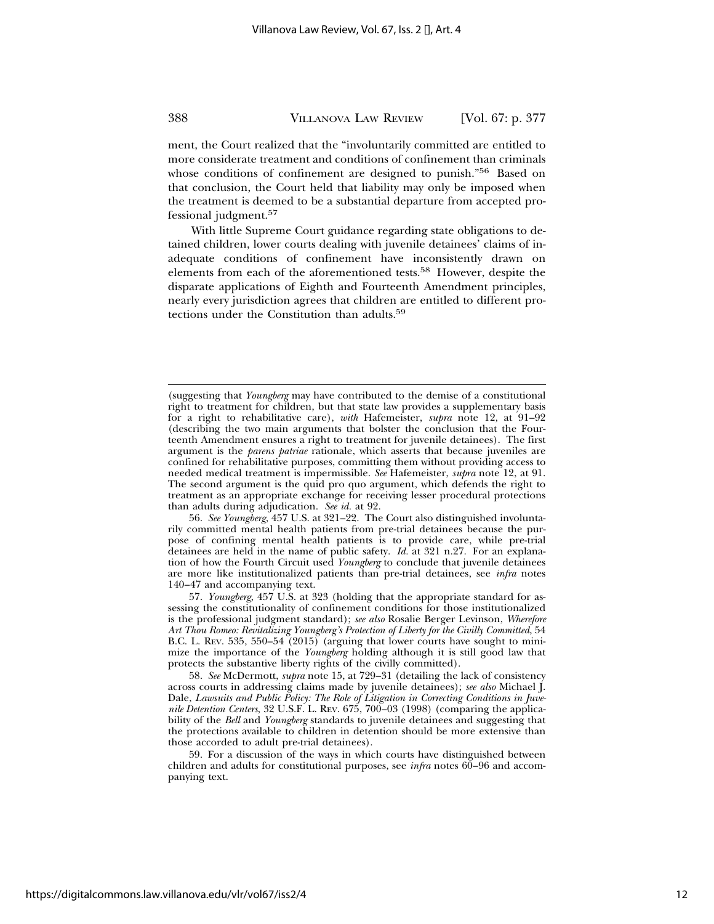ment, the Court realized that the "involuntarily committed are entitled to more considerate treatment and conditions of confinement than criminals whose conditions of confinement are designed to punish."<sup>56</sup> Based on that conclusion, the Court held that liability may only be imposed when the treatment is deemed to be a substantial departure from accepted professional judgment.<sup>57</sup>

With little Supreme Court guidance regarding state obligations to detained children, lower courts dealing with juvenile detainees' claims of inadequate conditions of confinement have inconsistently drawn on elements from each of the aforementioned tests.<sup>58</sup> However, despite the disparate applications of Eighth and Fourteenth Amendment principles, nearly every jurisdiction agrees that children are entitled to different protections under the Constitution than adults.59

56. *See Youngberg*, 457 U.S. at 321–22. The Court also distinguished involuntarily committed mental health patients from pre-trial detainees because the purpose of confining mental health patients is to provide care, while pre-trial detainees are held in the name of public safety. *Id.* at 321 n.27. For an explanation of how the Fourth Circuit used *Youngberg* to conclude that juvenile detainees are more like institutionalized patients than pre-trial detainees, see *infra* notes 140–47 and accompanying text.

<sup>(</sup>suggesting that *Youngberg* may have contributed to the demise of a constitutional right to treatment for children, but that state law provides a supplementary basis for a right to rehabilitative care), *with* Hafemeister, *supra* note 12, at 91–92 (describing the two main arguments that bolster the conclusion that the Fourteenth Amendment ensures a right to treatment for juvenile detainees). The first argument is the *parens patriae* rationale, which asserts that because juveniles are confined for rehabilitative purposes, committing them without providing access to needed medical treatment is impermissible. *See* Hafemeister, *supra* note 12, at 91. The second argument is the quid pro quo argument, which defends the right to treatment as an appropriate exchange for receiving lesser procedural protections than adults during adjudication. *See id.* at 92.

<sup>57.</sup> *Youngberg*, 457 U.S. at 323 (holding that the appropriate standard for assessing the constitutionality of confinement conditions for those institutionalized is the professional judgment standard); *see also* Rosalie Berger Levinson, *Wherefore Art Thou Romeo: Revitalizing Youngberg's Protection of Liberty for the Civilly Committed*, 54 B.C. L. REV. 535, 550–54 (2015) (arguing that lower courts have sought to minimize the importance of the *Youngberg* holding although it is still good law that protects the substantive liberty rights of the civilly committed).

<sup>58.</sup> *See* McDermott, *supra* note 15, at 729–31 (detailing the lack of consistency across courts in addressing claims made by juvenile detainees); *see also* Michael J. Dale, *Lawsuits and Public Policy: The Role of Litigation in Correcting Conditions in Juvenile Detention Centers*, 32 U.S.F. L. REV. 675, 700–03 (1998) (comparing the applicability of the *Bell* and *Youngberg* standards to juvenile detainees and suggesting that the protections available to children in detention should be more extensive than those accorded to adult pre-trial detainees).

<sup>59.</sup> For a discussion of the ways in which courts have distinguished between children and adults for constitutional purposes, see *infra* notes 60–96 and accompanying text.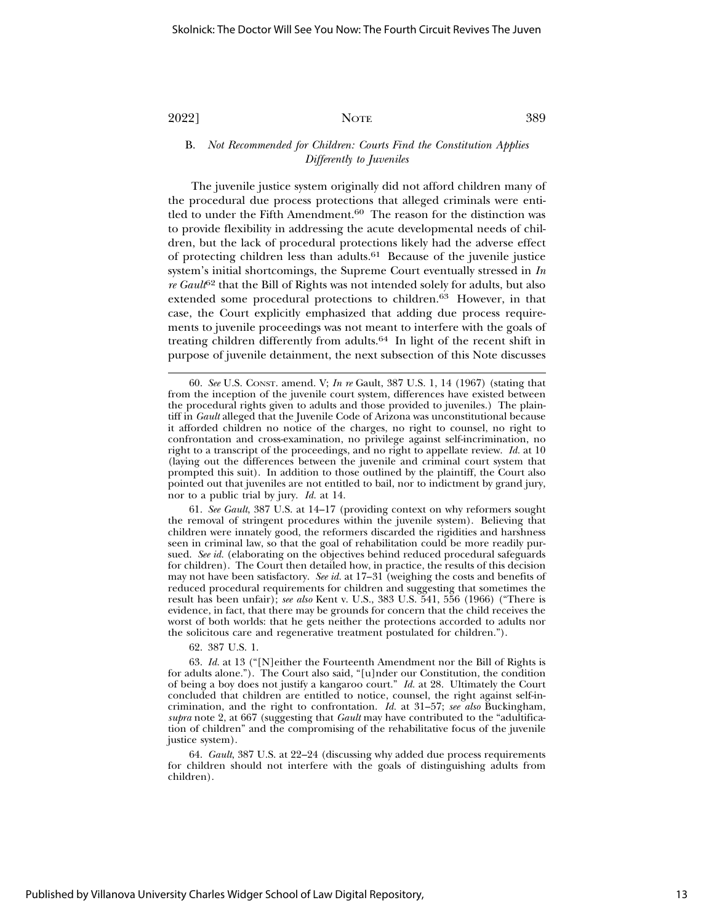B. *Not Recommended for Children: Courts Find the Constitution Applies Differently to Juveniles*

The juvenile justice system originally did not afford children many of the procedural due process protections that alleged criminals were entitled to under the Fifth Amendment.<sup>60</sup> The reason for the distinction was to provide flexibility in addressing the acute developmental needs of children, but the lack of procedural protections likely had the adverse effect of protecting children less than adults.61 Because of the juvenile justice system's initial shortcomings, the Supreme Court eventually stressed in *In re Gault*62 that the Bill of Rights was not intended solely for adults, but also extended some procedural protections to children.<sup>63</sup> However, in that case, the Court explicitly emphasized that adding due process requirements to juvenile proceedings was not meant to interfere with the goals of treating children differently from adults.64 In light of the recent shift in purpose of juvenile detainment, the next subsection of this Note discusses

61. *See Gault*, 387 U.S. at 14–17 (providing context on why reformers sought the removal of stringent procedures within the juvenile system). Believing that children were innately good, the reformers discarded the rigidities and harshness seen in criminal law, so that the goal of rehabilitation could be more readily pursued. *See id.* (elaborating on the objectives behind reduced procedural safeguards for children). The Court then detailed how, in practice, the results of this decision may not have been satisfactory. *See id.* at 17–31 (weighing the costs and benefits of reduced procedural requirements for children and suggesting that sometimes the result has been unfair); *see also* Kent v. U.S., 383 U.S. 541, 556 (1966) ("There is evidence, in fact, that there may be grounds for concern that the child receives the worst of both worlds: that he gets neither the protections accorded to adults nor the solicitous care and regenerative treatment postulated for children.").

62. 387 U.S. 1.

63. *Id.* at 13 ("[N]either the Fourteenth Amendment nor the Bill of Rights is for adults alone."). The Court also said, "[u]nder our Constitution, the condition of being a boy does not justify a kangaroo court." *Id.* at 28. Ultimately the Court concluded that children are entitled to notice, counsel, the right against self-incrimination, and the right to confrontation. *Id.* at 31–57; *see also* Buckingham, *supra* note 2, at 667 (suggesting that *Gault* may have contributed to the "adultification of children" and the compromising of the rehabilitative focus of the juvenile justice system).

64. *Gault*, 387 U.S. at 22–24 (discussing why added due process requirements for children should not interfere with the goals of distinguishing adults from children).

<sup>60.</sup> *See* U.S. CONST. amend. V; *In re* Gault, 387 U.S. 1, 14 (1967) (stating that from the inception of the juvenile court system, differences have existed between the procedural rights given to adults and those provided to juveniles.) The plaintiff in *Gault* alleged that the Juvenile Code of Arizona was unconstitutional because it afforded children no notice of the charges, no right to counsel, no right to confrontation and cross-examination, no privilege against self-incrimination, no right to a transcript of the proceedings, and no right to appellate review. *Id.* at 10 (laying out the differences between the juvenile and criminal court system that prompted this suit). In addition to those outlined by the plaintiff, the Court also pointed out that juveniles are not entitled to bail, nor to indictment by grand jury, nor to a public trial by jury. *Id.* at 14.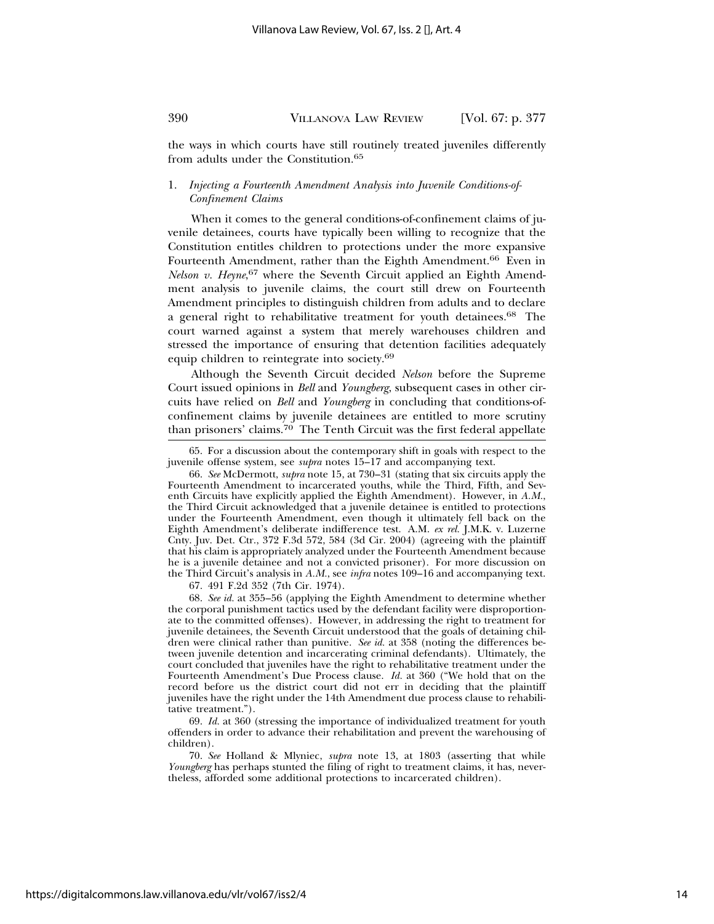the ways in which courts have still routinely treated juveniles differently from adults under the Constitution.65

### 1. *Injecting a Fourteenth Amendment Analysis into Juvenile Conditions-of-Confinement Claims*

When it comes to the general conditions-of-confinement claims of juvenile detainees, courts have typically been willing to recognize that the Constitution entitles children to protections under the more expansive Fourteenth Amendment, rather than the Eighth Amendment.<sup>66</sup> Even in *Nelson v. Heyne*, <sup>67</sup> where the Seventh Circuit applied an Eighth Amendment analysis to juvenile claims, the court still drew on Fourteenth Amendment principles to distinguish children from adults and to declare a general right to rehabilitative treatment for youth detainees.68 The court warned against a system that merely warehouses children and stressed the importance of ensuring that detention facilities adequately equip children to reintegrate into society.69

Although the Seventh Circuit decided *Nelson* before the Supreme Court issued opinions in *Bell* and *Youngberg*, subsequent cases in other circuits have relied on *Bell* and *Youngberg* in concluding that conditions-ofconfinement claims by juvenile detainees are entitled to more scrutiny than prisoners' claims.<sup>70</sup> The Tenth Circuit was the first federal appellate

67. 491 F.2d 352 (7th Cir. 1974).

68. *See id.* at 355–56 (applying the Eighth Amendment to determine whether the corporal punishment tactics used by the defendant facility were disproportionate to the committed offenses). However, in addressing the right to treatment for juvenile detainees, the Seventh Circuit understood that the goals of detaining children were clinical rather than punitive. *See id.* at 358 (noting the differences between juvenile detention and incarcerating criminal defendants). Ultimately, the court concluded that juveniles have the right to rehabilitative treatment under the Fourteenth Amendment's Due Process clause. *Id.* at 360 ("We hold that on the record before us the district court did not err in deciding that the plaintiff juveniles have the right under the 14th Amendment due process clause to rehabilitative treatment.").

69. *Id.* at 360 (stressing the importance of individualized treatment for youth offenders in order to advance their rehabilitation and prevent the warehousing of children).

70. *See* Holland & Mlyniec, *supra* note 13, at 1803 (asserting that while *Youngberg* has perhaps stunted the filing of right to treatment claims, it has, nevertheless, afforded some additional protections to incarcerated children).

<sup>65.</sup> For a discussion about the contemporary shift in goals with respect to the juvenile offense system, see *supra* notes 15–17 and accompanying text.

<sup>66.</sup> *See* McDermott, *supra* note 15, at 730–31 (stating that six circuits apply the Fourteenth Amendment to incarcerated youths, while the Third, Fifth, and Seventh Circuits have explicitly applied the Eighth Amendment). However, in *A.M.*, the Third Circuit acknowledged that a juvenile detainee is entitled to protections under the Fourteenth Amendment, even though it ultimately fell back on the Eighth Amendment's deliberate indifference test. A.M. *ex rel.* J.M.K. v. Luzerne Cnty. Juv. Det. Ctr., 372 F.3d 572, 584 (3d Cir. 2004) (agreeing with the plaintiff that his claim is appropriately analyzed under the Fourteenth Amendment because he is a juvenile detainee and not a convicted prisoner). For more discussion on the Third Circuit's analysis in *A.M.*, see *infra* notes 109–16 and accompanying text.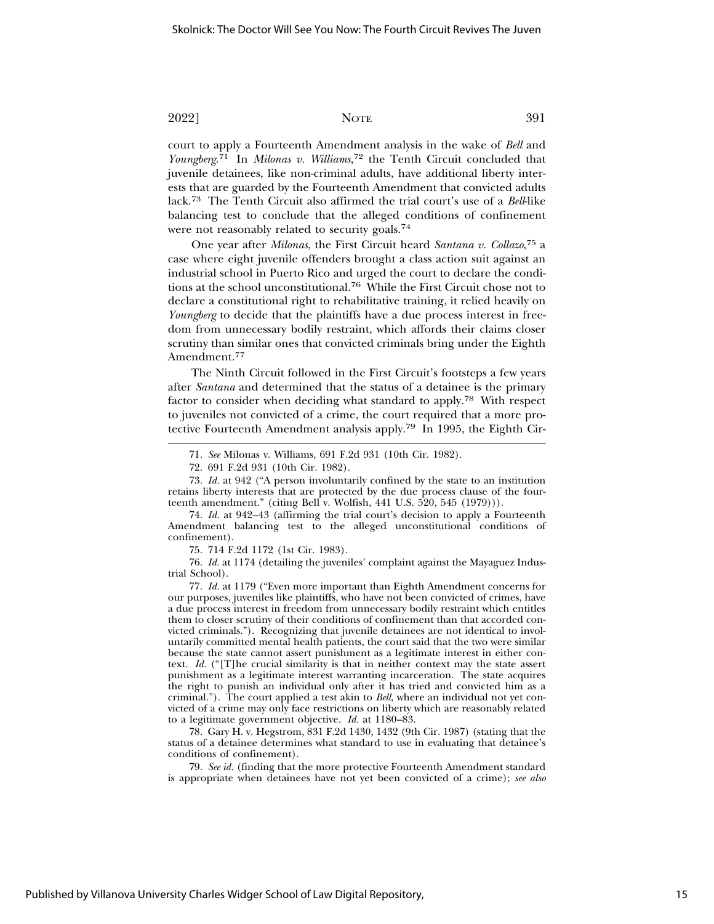court to apply a Fourteenth Amendment analysis in the wake of *Bell* and *Youngberg*. 71 In *Milonas v. Williams*, 72 the Tenth Circuit concluded that juvenile detainees, like non-criminal adults, have additional liberty interests that are guarded by the Fourteenth Amendment that convicted adults lack.<sup>73</sup> The Tenth Circuit also affirmed the trial court's use of a *Bell*-like balancing test to conclude that the alleged conditions of confinement were not reasonably related to security goals.74

One year after *Milonas*, the First Circuit heard *Santana v. Collazo*, 75 a case where eight juvenile offenders brought a class action suit against an industrial school in Puerto Rico and urged the court to declare the conditions at the school unconstitutional.76 While the First Circuit chose not to declare a constitutional right to rehabilitative training, it relied heavily on *Youngberg* to decide that the plaintiffs have a due process interest in freedom from unnecessary bodily restraint, which affords their claims closer scrutiny than similar ones that convicted criminals bring under the Eighth Amendment.77

The Ninth Circuit followed in the First Circuit's footsteps a few years after *Santana* and determined that the status of a detainee is the primary factor to consider when deciding what standard to apply.78 With respect to juveniles not convicted of a crime, the court required that a more protective Fourteenth Amendment analysis apply.79 In 1995, the Eighth Cir-

73. *Id.* at 942 ("A person involuntarily confined by the state to an institution retains liberty interests that are protected by the due process clause of the fourteenth amendment." (citing Bell v. Wolfish, 441 U.S. 520, 545 (1979))).

74. *Id.* at 942–43 (affirming the trial court's decision to apply a Fourteenth Amendment balancing test to the alleged unconstitutional conditions of confinement).

75. 714 F.2d 1172 (1st Cir. 1983).

76. *Id.* at 1174 (detailing the juveniles' complaint against the Mayaguez Industrial School).

77. *Id.* at 1179 ("Even more important than Eighth Amendment concerns for our purposes, juveniles like plaintiffs, who have not been convicted of crimes, have a due process interest in freedom from unnecessary bodily restraint which entitles them to closer scrutiny of their conditions of confinement than that accorded convicted criminals."). Recognizing that juvenile detainees are not identical to involuntarily committed mental health patients, the court said that the two were similar because the state cannot assert punishment as a legitimate interest in either context. *Id.* ("[T]he crucial similarity is that in neither context may the state assert punishment as a legitimate interest warranting incarceration. The state acquires the right to punish an individual only after it has tried and convicted him as a criminal."). The court applied a test akin to *Bell*, where an individual not yet convicted of a crime may only face restrictions on liberty which are reasonably related to a legitimate government objective. *Id.* at 1180–83.

78. Gary H. v. Hegstrom, 831 F.2d 1430, 1432 (9th Cir. 1987) (stating that the status of a detainee determines what standard to use in evaluating that detainee's conditions of confinement).

79. *See id.* (finding that the more protective Fourteenth Amendment standard is appropriate when detainees have not yet been convicted of a crime); *see also*

<sup>71.</sup> *See* Milonas v. Williams, 691 F.2d 931 (10th Cir. 1982).

<sup>72. 691</sup> F.2d 931 (10th Cir. 1982).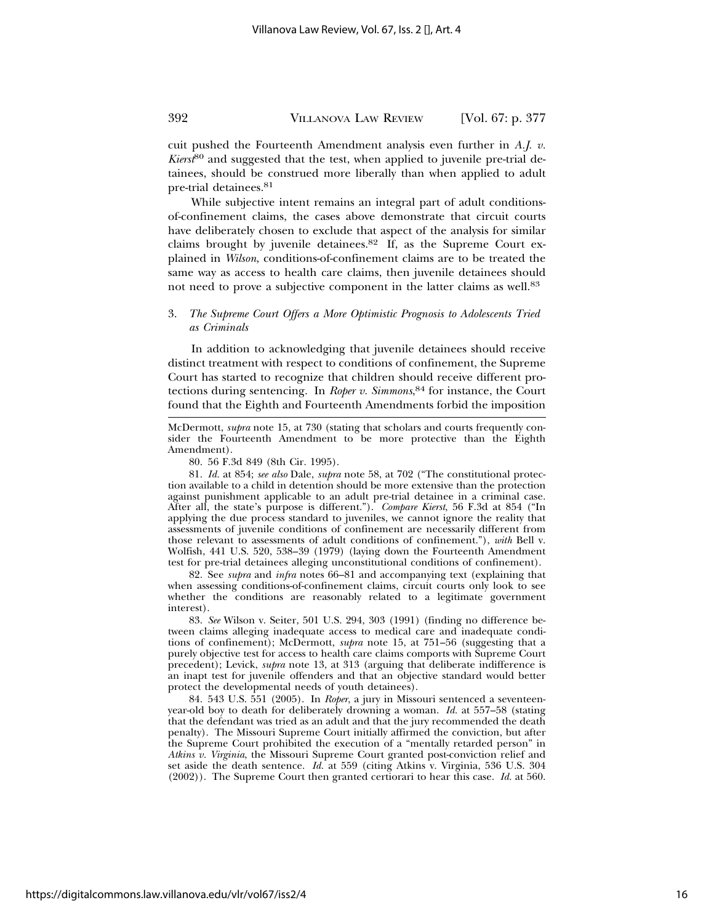cuit pushed the Fourteenth Amendment analysis even further in *A.J. v. Kierst*80 and suggested that the test, when applied to juvenile pre-trial detainees, should be construed more liberally than when applied to adult pre-trial detainees.81

While subjective intent remains an integral part of adult conditionsof-confinement claims, the cases above demonstrate that circuit courts have deliberately chosen to exclude that aspect of the analysis for similar claims brought by juvenile detainees.82 If, as the Supreme Court explained in *Wilson*, conditions-of-confinement claims are to be treated the same way as access to health care claims, then juvenile detainees should not need to prove a subjective component in the latter claims as well.<sup>83</sup>

#### 3. *The Supreme Court Offers a More Optimistic Prognosis to Adolescents Tried as Criminals*

In addition to acknowledging that juvenile detainees should receive distinct treatment with respect to conditions of confinement, the Supreme Court has started to recognize that children should receive different protections during sentencing. In *Roper v. Simmons*, 84 for instance, the Court found that the Eighth and Fourteenth Amendments forbid the imposition

McDermott, *supra* note 15, at 730 (stating that scholars and courts frequently consider the Fourteenth Amendment to be more protective than the Eighth Amendment).

80. 56 F.3d 849 (8th Cir. 1995).

81. *Id.* at 854; *see also* Dale, *supra* note 58, at 702 ("The constitutional protection available to a child in detention should be more extensive than the protection against punishment applicable to an adult pre-trial detainee in a criminal case. After all, the state's purpose is different."). *Compare Kierst*, 56 F.3d at 854 ("In applying the due process standard to juveniles, we cannot ignore the reality that assessments of juvenile conditions of confinement are necessarily different from those relevant to assessments of adult conditions of confinement."), *with* Bell v. Wolfish, 441 U.S. 520, 538–39 (1979) (laying down the Fourteenth Amendment test for pre-trial detainees alleging unconstitutional conditions of confinement).

82. See *supra* and *infra* notes 66–81 and accompanying text (explaining that when assessing conditions-of-confinement claims, circuit courts only look to see whether the conditions are reasonably related to a legitimate government interest).

83. *See* Wilson v. Seiter, 501 U.S. 294, 303 (1991) (finding no difference between claims alleging inadequate access to medical care and inadequate conditions of confinement); McDermott, *supra* note 15, at 751–56 (suggesting that a purely objective test for access to health care claims comports with Supreme Court precedent); Levick, *supra* note 13, at 313 (arguing that deliberate indifference is an inapt test for juvenile offenders and that an objective standard would better protect the developmental needs of youth detainees).

84. 543 U.S. 551 (2005). In *Roper*, a jury in Missouri sentenced a seventeenyear-old boy to death for deliberately drowning a woman. *Id.* at 557–58 (stating that the defendant was tried as an adult and that the jury recommended the death penalty). The Missouri Supreme Court initially affirmed the conviction, but after the Supreme Court prohibited the execution of a "mentally retarded person" in *Atkins v. Virginia*, the Missouri Supreme Court granted post-conviction relief and set aside the death sentence. *Id.* at 559 (citing Atkins v. Virginia, 536 U.S. 304 (2002)). The Supreme Court then granted certiorari to hear this case. *Id.* at 560.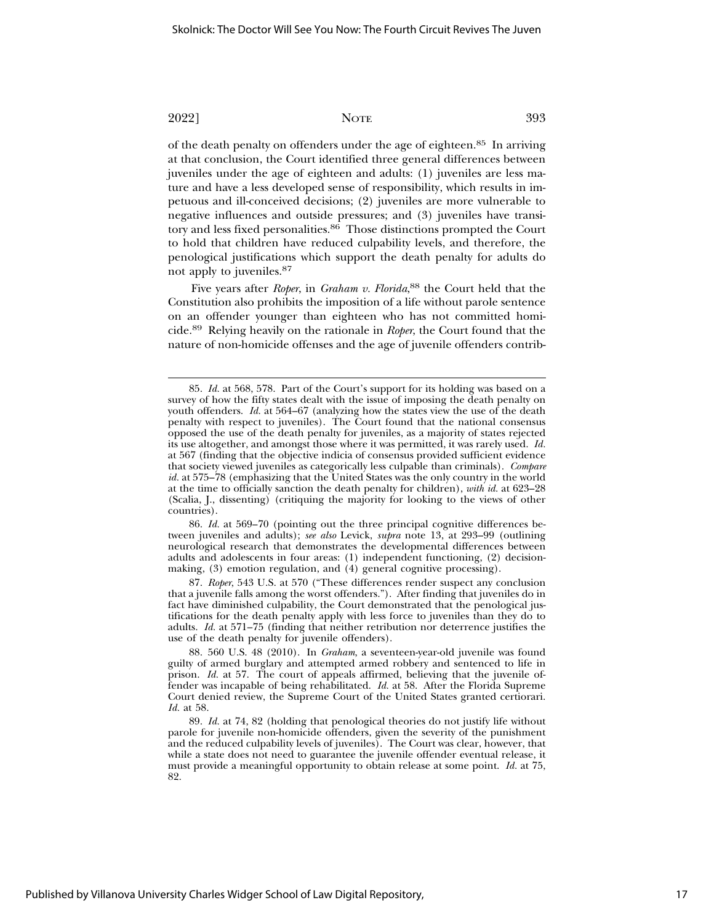of the death penalty on offenders under the age of eighteen.85 In arriving at that conclusion, the Court identified three general differences between juveniles under the age of eighteen and adults: (1) juveniles are less mature and have a less developed sense of responsibility, which results in impetuous and ill-conceived decisions; (2) juveniles are more vulnerable to negative influences and outside pressures; and (3) juveniles have transitory and less fixed personalities.86 Those distinctions prompted the Court to hold that children have reduced culpability levels, and therefore, the penological justifications which support the death penalty for adults do not apply to juveniles.<sup>87</sup>

Five years after *Roper*, in *Graham v. Florida*, 88 the Court held that the Constitution also prohibits the imposition of a life without parole sentence on an offender younger than eighteen who has not committed homicide.89 Relying heavily on the rationale in *Roper*, the Court found that the nature of non-homicide offenses and the age of juvenile offenders contrib-

86. *Id.* at 569–70 (pointing out the three principal cognitive differences between juveniles and adults); *see also* Levick, *supra* note 13, at 293–99 (outlining neurological research that demonstrates the developmental differences between adults and adolescents in four areas: (1) independent functioning, (2) decisionmaking, (3) emotion regulation, and (4) general cognitive processing).

87. *Roper*, 543 U.S. at 570 ("These differences render suspect any conclusion that a juvenile falls among the worst offenders."). After finding that juveniles do in fact have diminished culpability, the Court demonstrated that the penological justifications for the death penalty apply with less force to juveniles than they do to adults. *Id.* at 571–75 (finding that neither retribution nor deterrence justifies the use of the death penalty for juvenile offenders).

88. 560 U.S. 48 (2010). In *Graham*, a seventeen-year-old juvenile was found guilty of armed burglary and attempted armed robbery and sentenced to life in prison. *Id.* at 57. The court of appeals affirmed, believing that the juvenile offender was incapable of being rehabilitated. *Id.* at 58. After the Florida Supreme Court denied review, the Supreme Court of the United States granted certiorari. *Id.* at 58.

89. *Id.* at 74, 82 (holding that penological theories do not justify life without parole for juvenile non-homicide offenders, given the severity of the punishment and the reduced culpability levels of juveniles). The Court was clear, however, that while a state does not need to guarantee the juvenile offender eventual release, it must provide a meaningful opportunity to obtain release at some point. *Id.* at 75, 82.

<sup>85.</sup> *Id.* at 568, 578. Part of the Court's support for its holding was based on a survey of how the fifty states dealt with the issue of imposing the death penalty on youth offenders. *Id.* at 564–67 (analyzing how the states view the use of the death penalty with respect to juveniles). The Court found that the national consensus opposed the use of the death penalty for juveniles, as a majority of states rejected its use altogether, and amongst those where it was permitted, it was rarely used. *Id.* at 567 (finding that the objective indicia of consensus provided sufficient evidence that society viewed juveniles as categorically less culpable than criminals). *Compare id.* at 575–78 (emphasizing that the United States was the only country in the world at the time to officially sanction the death penalty for children), *with id.* at 623–28 (Scalia, J., dissenting) (critiquing the majority for looking to the views of other countries).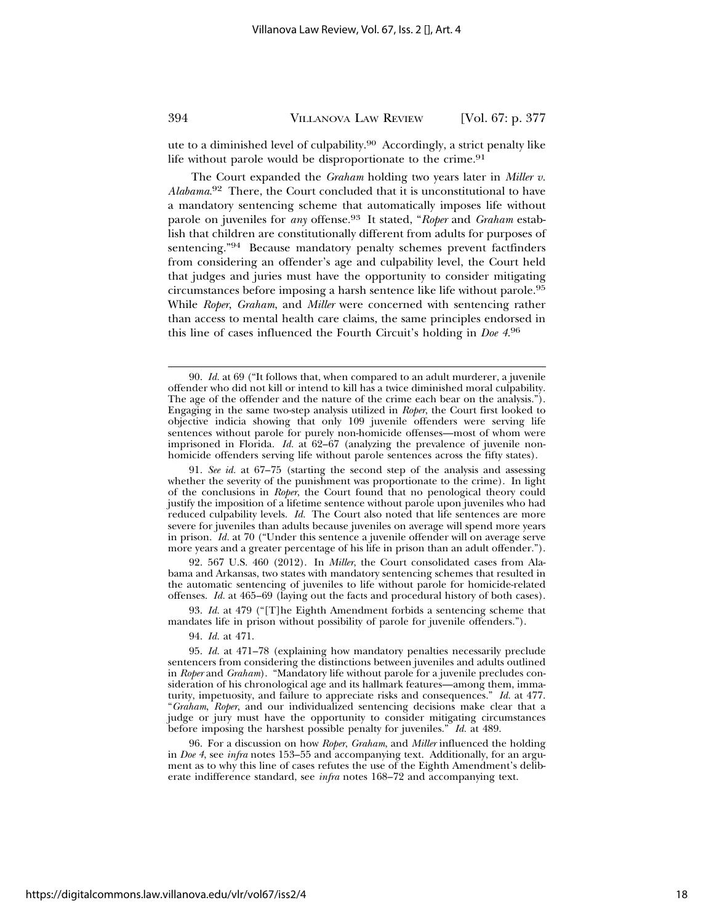ute to a diminished level of culpability.90 Accordingly, a strict penalty like life without parole would be disproportionate to the crime.<sup>91</sup>

The Court expanded the *Graham* holding two years later in *Miller v. Alabama*. 92 There, the Court concluded that it is unconstitutional to have a mandatory sentencing scheme that automatically imposes life without parole on juveniles for *any* offense.93 It stated, "*Roper* and *Graham* establish that children are constitutionally different from adults for purposes of sentencing."94 Because mandatory penalty schemes prevent factfinders from considering an offender's age and culpability level, the Court held that judges and juries must have the opportunity to consider mitigating circumstances before imposing a harsh sentence like life without parole.95 While *Roper*, *Graham*, and *Miller* were concerned with sentencing rather than access to mental health care claims, the same principles endorsed in this line of cases influenced the Fourth Circuit's holding in *Doe 4*. 96

93. *Id.* at 479 ("[T]he Eighth Amendment forbids a sentencing scheme that mandates life in prison without possibility of parole for juvenile offenders.").

94. *Id.* at 471.

96. For a discussion on how *Roper*, *Graham*, and *Miller* influenced the holding in *Doe 4*, see *infra* notes 153–55 and accompanying text. Additionally, for an argument as to why this line of cases refutes the use of the Eighth Amendment's deliberate indifference standard, see *infra* notes 168–72 and accompanying text.

<sup>90.</sup> *Id.* at 69 ("It follows that, when compared to an adult murderer, a juvenile offender who did not kill or intend to kill has a twice diminished moral culpability. The age of the offender and the nature of the crime each bear on the analysis."). Engaging in the same two-step analysis utilized in *Roper*, the Court first looked to objective indicia showing that only 109 juvenile offenders were serving life sentences without parole for purely non-homicide offenses—most of whom were imprisoned in Florida. *Id.* at 62–67 (analyzing the prevalence of juvenile nonhomicide offenders serving life without parole sentences across the fifty states).

<sup>91.</sup> *See id.* at 67–75 (starting the second step of the analysis and assessing whether the severity of the punishment was proportionate to the crime). In light of the conclusions in *Roper*, the Court found that no penological theory could justify the imposition of a lifetime sentence without parole upon juveniles who had reduced culpability levels. *Id.* The Court also noted that life sentences are more severe for juveniles than adults because juveniles on average will spend more years in prison. *Id.* at 70 ("Under this sentence a juvenile offender will on average serve more years and a greater percentage of his life in prison than an adult offender.").

<sup>92. 567</sup> U.S. 460 (2012). In *Miller*, the Court consolidated cases from Alabama and Arkansas, two states with mandatory sentencing schemes that resulted in the automatic sentencing of juveniles to life without parole for homicide-related offenses. *Id.* at 465–69 (laying out the facts and procedural history of both cases).

<sup>95.</sup> *Id.* at 471–78 (explaining how mandatory penalties necessarily preclude sentencers from considering the distinctions between juveniles and adults outlined in *Roper* and *Graham*). "Mandatory life without parole for a juvenile precludes consideration of his chronological age and its hallmark features—among them, immaturity, impetuosity, and failure to appreciate risks and consequences." *Id.* at 477. "*Graham*, *Roper*, and our individualized sentencing decisions make clear that a judge or jury must have the opportunity to consider mitigating circumstances before imposing the harshest possible penalty for juveniles." *Id.* at 489.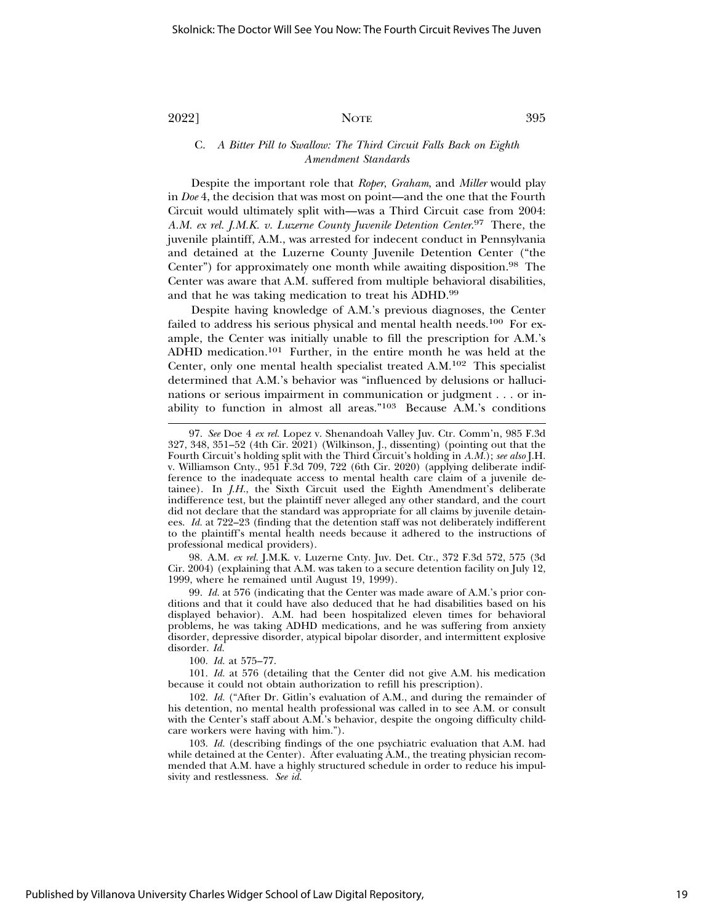C. *A Bitter Pill to Swallow: The Third Circuit Falls Back on Eighth Amendment Standards*

Despite the important role that *Roper*, *Graham*, and *Miller* would play in *Doe* 4, the decision that was most on point—and the one that the Fourth Circuit would ultimately split with—was a Third Circuit case from 2004: *A.M. ex rel. J.M.K. v. Luzerne County Juvenile Detention Center*. 97 There, the juvenile plaintiff, A.M., was arrested for indecent conduct in Pennsylvania and detained at the Luzerne County Juvenile Detention Center ("the Center") for approximately one month while awaiting disposition.<sup>98</sup> The Center was aware that A.M. suffered from multiple behavioral disabilities, and that he was taking medication to treat his ADHD.<sup>99</sup>

Despite having knowledge of A.M.'s previous diagnoses, the Center failed to address his serious physical and mental health needs.<sup>100</sup> For example, the Center was initially unable to fill the prescription for A.M.'s ADHD medication.101 Further, in the entire month he was held at the Center, only one mental health specialist treated A.M.102 This specialist determined that A.M.'s behavior was "influenced by delusions or hallucinations or serious impairment in communication or judgment . . . or inability to function in almost all areas."103 Because A.M.'s conditions

98. A.M. *ex rel.* J.M.K. v. Luzerne Cnty. Juv. Det. Ctr., 372 F.3d 572, 575 (3d Cir. 2004) (explaining that A.M. was taken to a secure detention facility on July 12, 1999, where he remained until August 19, 1999).

99. *Id.* at 576 (indicating that the Center was made aware of A.M.'s prior conditions and that it could have also deduced that he had disabilities based on his displayed behavior). A.M. had been hospitalized eleven times for behavioral problems, he was taking ADHD medications, and he was suffering from anxiety disorder, depressive disorder, atypical bipolar disorder, and intermittent explosive disorder. *Id.*

100. *Id.* at 575–77.

101. *Id.* at 576 (detailing that the Center did not give A.M. his medication because it could not obtain authorization to refill his prescription).

102. *Id.* ("After Dr. Gitlin's evaluation of A.M., and during the remainder of his detention, no mental health professional was called in to see A.M. or consult with the Center's staff about A.M.'s behavior, despite the ongoing difficulty childcare workers were having with him.").

103. *Id.* (describing findings of the one psychiatric evaluation that A.M. had while detained at the Center). After evaluating A.M., the treating physician recommended that A.M. have a highly structured schedule in order to reduce his impulsivity and restlessness. *See id.*

<sup>97.</sup> *See* Doe 4 *ex rel.* Lopez v. Shenandoah Valley Juv. Ctr. Comm'n, 985 F.3d 327, 348, 351–52 (4th Cir. 2021) (Wilkinson, J., dissenting) (pointing out that the Fourth Circuit's holding split with the Third Circuit's holding in *A.M.*); *see also* J.H. v. Williamson Cnty., 951 F.3d 709, 722 (6th Cir. 2020) (applying deliberate indifference to the inadequate access to mental health care claim of a juvenile detainee). In *J.H.*, the Sixth Circuit used the Eighth Amendment's deliberate indifference test, but the plaintiff never alleged any other standard, and the court did not declare that the standard was appropriate for all claims by juvenile detainees. *Id.* at 722–23 (finding that the detention staff was not deliberately indifferent to the plaintiff's mental health needs because it adhered to the instructions of professional medical providers).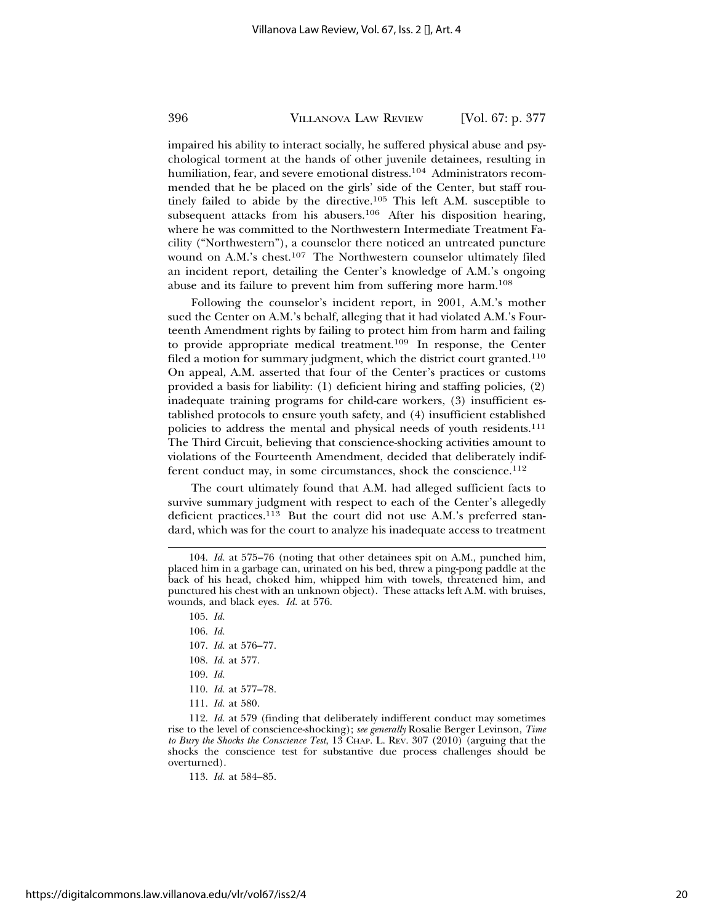impaired his ability to interact socially, he suffered physical abuse and psychological torment at the hands of other juvenile detainees, resulting in humiliation, fear, and severe emotional distress.<sup>104</sup> Administrators recommended that he be placed on the girls' side of the Center, but staff routinely failed to abide by the directive.105 This left A.M. susceptible to subsequent attacks from his abusers.<sup>106</sup> After his disposition hearing, where he was committed to the Northwestern Intermediate Treatment Facility ("Northwestern"), a counselor there noticed an untreated puncture wound on A.M.'s chest.<sup>107</sup> The Northwestern counselor ultimately filed an incident report, detailing the Center's knowledge of A.M.'s ongoing abuse and its failure to prevent him from suffering more harm.108

Following the counselor's incident report, in 2001, A.M.'s mother sued the Center on A.M.'s behalf, alleging that it had violated A.M.'s Fourteenth Amendment rights by failing to protect him from harm and failing to provide appropriate medical treatment.109 In response, the Center filed a motion for summary judgment, which the district court granted.<sup>110</sup> On appeal, A.M. asserted that four of the Center's practices or customs provided a basis for liability: (1) deficient hiring and staffing policies, (2) inadequate training programs for child-care workers, (3) insufficient established protocols to ensure youth safety, and (4) insufficient established policies to address the mental and physical needs of youth residents.<sup>111</sup> The Third Circuit, believing that conscience-shocking activities amount to violations of the Fourteenth Amendment, decided that deliberately indifferent conduct may, in some circumstances, shock the conscience.<sup>112</sup>

The court ultimately found that A.M. had alleged sufficient facts to survive summary judgment with respect to each of the Center's allegedly deficient practices.113 But the court did not use A.M.'s preferred standard, which was for the court to analyze his inadequate access to treatment

- 106. *Id.*
- 107. *Id.* at 576–77.
- 108. *Id.* at 577.
- 109. *Id.*
- 110. *Id.* at 577–78.
- 111. *Id.* at 580.

112. *Id.* at 579 (finding that deliberately indifferent conduct may sometimes rise to the level of conscience-shocking); *see generally* Rosalie Berger Levinson, *Time to Bury the Shocks the Conscience Test*, 13 CHAP. L. REV. 307 (2010) (arguing that the shocks the conscience test for substantive due process challenges should be overturned).

113. *Id.* at 584–85.

<sup>104.</sup> *Id.* at 575–76 (noting that other detainees spit on A.M., punched him, placed him in a garbage can, urinated on his bed, threw a ping-pong paddle at the back of his head, choked him, whipped him with towels, threatened him, and punctured his chest with an unknown object). These attacks left A.M. with bruises, wounds, and black eyes. *Id.* at 576.

<sup>105.</sup> *Id.*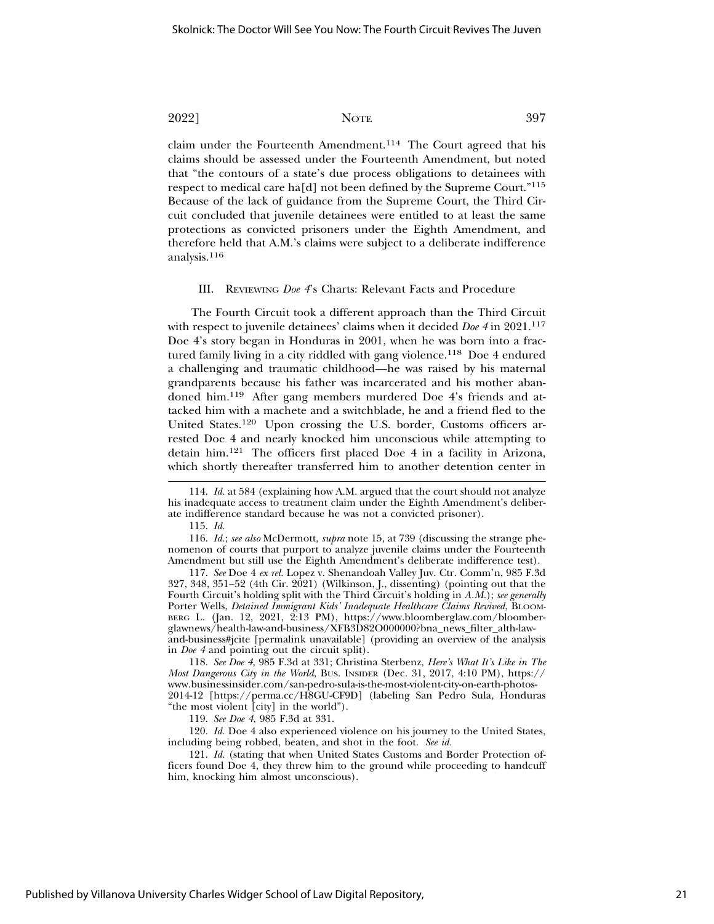claim under the Fourteenth Amendment.<sup>114</sup> The Court agreed that his claims should be assessed under the Fourteenth Amendment, but noted that "the contours of a state's due process obligations to detainees with respect to medical care ha[d] not been defined by the Supreme Court."115 Because of the lack of guidance from the Supreme Court, the Third Circuit concluded that juvenile detainees were entitled to at least the same protections as convicted prisoners under the Eighth Amendment, and therefore held that A.M.'s claims were subject to a deliberate indifference analysis.116

#### III. REVIEWING *Doe 4*'s Charts: Relevant Facts and Procedure

The Fourth Circuit took a different approach than the Third Circuit with respect to juvenile detainees' claims when it decided *Doe 4* in 2021.117 Doe 4's story began in Honduras in 2001, when he was born into a fractured family living in a city riddled with gang violence.<sup>118</sup> Doe 4 endured a challenging and traumatic childhood—he was raised by his maternal grandparents because his father was incarcerated and his mother abandoned him.119 After gang members murdered Doe 4's friends and attacked him with a machete and a switchblade, he and a friend fled to the United States.120 Upon crossing the U.S. border, Customs officers arrested Doe 4 and nearly knocked him unconscious while attempting to detain him.121 The officers first placed Doe 4 in a facility in Arizona, which shortly thereafter transferred him to another detention center in

115. *Id.*

116. *Id.*; *see also* McDermott, *supra* note 15, at 739 (discussing the strange phenomenon of courts that purport to analyze juvenile claims under the Fourteenth Amendment but still use the Eighth Amendment's deliberate indifference test).

117. *See* Doe 4 *ex rel.* Lopez v. Shenandoah Valley Juv. Ctr. Comm'n, 985 F.3d  $327, 348, 351-52$  (4th Cir.  $2021$ ) (Wilkinson, J., dissenting) (pointing out that the Fourth Circuit's holding split with the Third Circuit's holding in *A.M.*); *see generally* Porter Wells, *Detained Immigrant Kids' Inadequate Healthcare Claims Revived*, BLOOM-BERG L. (Jan. 12, 2021, 2:13 PM), https://www.bloomberglaw.com/bloomberglawnews/health-law-and-business/XFB3D82O000000?bna\_news\_filter\_alth-lawand-business#jcite [permalink unavailable] (providing an overview of the analysis in *Doe 4* and pointing out the circuit split).

118. *See Doe 4*, 985 F.3d at 331; Christina Sterbenz, *Here's What It's Like in The Most Dangerous City in the World*, BUS. INSIDER (Dec. 31, 2017, 4:10 PM), https:// www.businessinsider.com/san-pedro-sula-is-the-most-violent-city-on-earth-photos-2014-12 [https://perma.cc/H8GU-CF9D] (labeling San Pedro Sula, Honduras "the most violent [city] in the world").

119. *See Doe 4*, 985 F.3d at 331.

120. *Id.* Doe 4 also experienced violence on his journey to the United States, including being robbed, beaten, and shot in the foot. *See id.*

121. *Id.* (stating that when United States Customs and Border Protection officers found Doe 4, they threw him to the ground while proceeding to handcuff him, knocking him almost unconscious).

<sup>114.</sup> *Id.* at 584 (explaining how A.M. argued that the court should not analyze his inadequate access to treatment claim under the Eighth Amendment's deliberate indifference standard because he was not a convicted prisoner).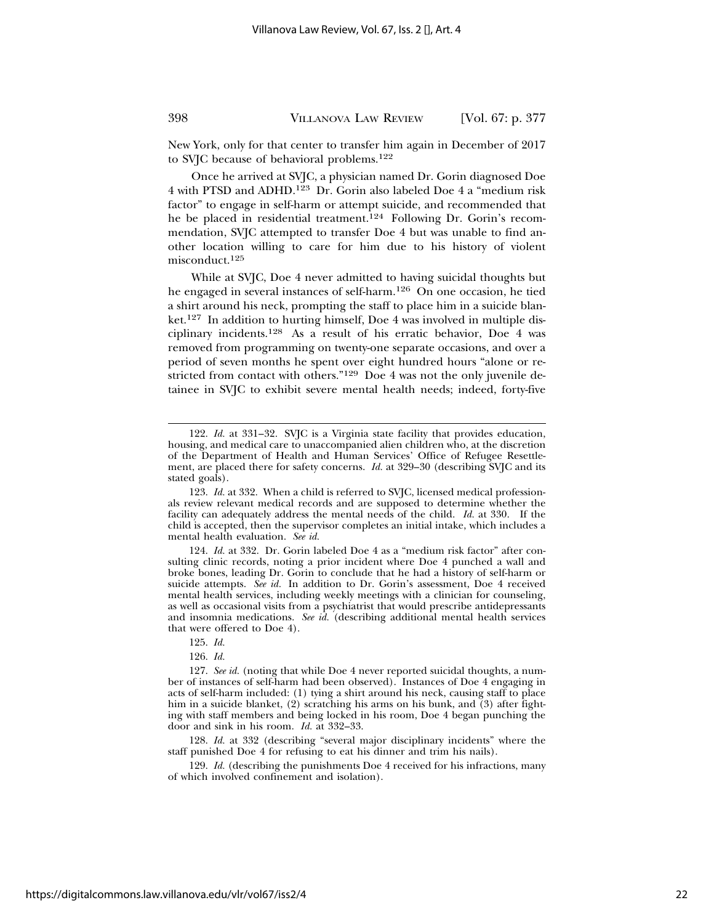New York, only for that center to transfer him again in December of 2017 to SVJC because of behavioral problems.122

Once he arrived at SVJC, a physician named Dr. Gorin diagnosed Doe 4 with PTSD and ADHD.123 Dr. Gorin also labeled Doe 4 a "medium risk factor" to engage in self-harm or attempt suicide, and recommended that he be placed in residential treatment.<sup>124</sup> Following Dr. Gorin's recommendation, SVJC attempted to transfer Doe 4 but was unable to find another location willing to care for him due to his history of violent misconduct.125

While at SVJC, Doe 4 never admitted to having suicidal thoughts but he engaged in several instances of self-harm.126 On one occasion, he tied a shirt around his neck, prompting the staff to place him in a suicide blanket.127 In addition to hurting himself, Doe 4 was involved in multiple disciplinary incidents.128 As a result of his erratic behavior, Doe 4 was removed from programming on twenty-one separate occasions, and over a period of seven months he spent over eight hundred hours "alone or restricted from contact with others."129 Doe 4 was not the only juvenile detainee in SVJC to exhibit severe mental health needs; indeed, forty-five

124. *Id.* at 332. Dr. Gorin labeled Doe 4 as a "medium risk factor" after consulting clinic records, noting a prior incident where Doe 4 punched a wall and broke bones, leading Dr. Gorin to conclude that he had a history of self-harm or suicide attempts. *See id.* In addition to Dr. Gorin's assessment, Doe 4 received mental health services, including weekly meetings with a clinician for counseling, as well as occasional visits from a psychiatrist that would prescribe antidepressants and insomnia medications. *See id.* (describing additional mental health services that were offered to Doe 4).

128. *Id.* at 332 (describing "several major disciplinary incidents" where the staff punished Doe 4 for refusing to eat his dinner and trim his nails).

129. *Id.* (describing the punishments Doe 4 received for his infractions, many of which involved confinement and isolation).

<sup>122.</sup> *Id.* at 331–32. SVJC is a Virginia state facility that provides education, housing, and medical care to unaccompanied alien children who, at the discretion of the Department of Health and Human Services' Office of Refugee Resettlement, are placed there for safety concerns. *Id.* at 329–30 (describing SVJC and its stated goals).

<sup>123.</sup> *Id.* at 332. When a child is referred to SVJC, licensed medical professionals review relevant medical records and are supposed to determine whether the facility can adequately address the mental needs of the child. *Id.* at 330. If the child is accepted, then the supervisor completes an initial intake, which includes a mental health evaluation. *See id.*

<sup>125.</sup> *Id.*

<sup>126.</sup> *Id.*

<sup>127.</sup> *See id.* (noting that while Doe 4 never reported suicidal thoughts, a number of instances of self-harm had been observed). Instances of Doe 4 engaging in acts of self-harm included: (1) tying a shirt around his neck, causing staff to place him in a suicide blanket, (2) scratching his arms on his bunk, and (3) after fighting with staff members and being locked in his room, Doe 4 began punching the door and sink in his room. *Id.* at 332–33.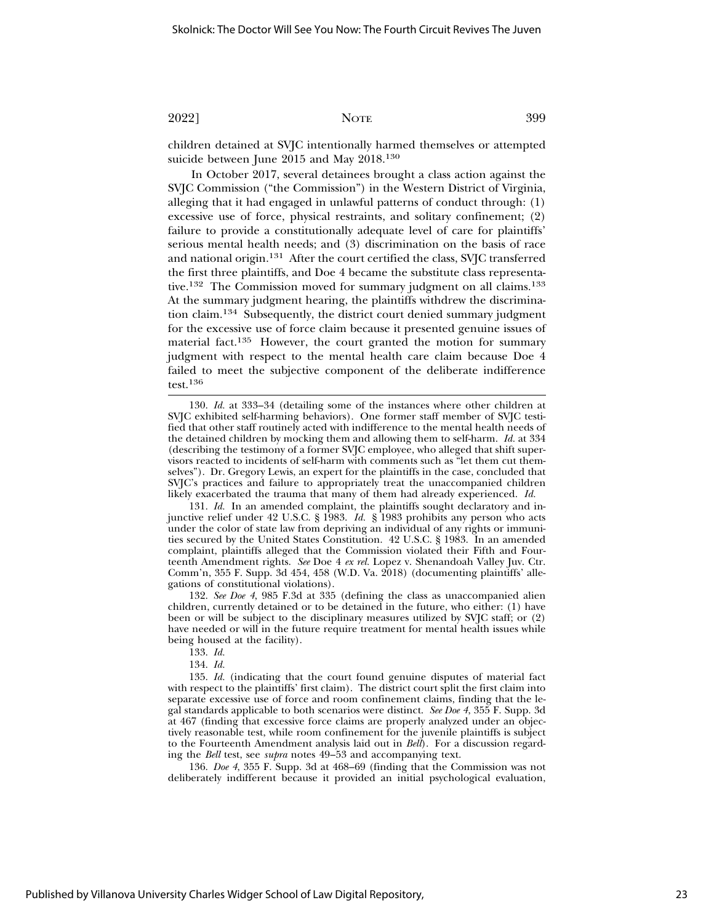children detained at SVJC intentionally harmed themselves or attempted suicide between June 2015 and May 2018.130

In October 2017, several detainees brought a class action against the SVJC Commission ("the Commission") in the Western District of Virginia, alleging that it had engaged in unlawful patterns of conduct through: (1) excessive use of force, physical restraints, and solitary confinement; (2) failure to provide a constitutionally adequate level of care for plaintiffs' serious mental health needs; and (3) discrimination on the basis of race and national origin.131 After the court certified the class, SVJC transferred the first three plaintiffs, and Doe 4 became the substitute class representative.<sup>132</sup> The Commission moved for summary judgment on all claims.<sup>133</sup> At the summary judgment hearing, the plaintiffs withdrew the discrimination claim.134 Subsequently, the district court denied summary judgment for the excessive use of force claim because it presented genuine issues of material fact.135 However, the court granted the motion for summary judgment with respect to the mental health care claim because Doe 4 failed to meet the subjective component of the deliberate indifference test.136

130. *Id.* at 333–34 (detailing some of the instances where other children at SVJC exhibited self-harming behaviors). One former staff member of SVJC testified that other staff routinely acted with indifference to the mental health needs of the detained children by mocking them and allowing them to self-harm. *Id.* at 334 (describing the testimony of a former SVJC employee, who alleged that shift supervisors reacted to incidents of self-harm with comments such as "let them cut themselves"). Dr. Gregory Lewis, an expert for the plaintiffs in the case, concluded that SVJC's practices and failure to appropriately treat the unaccompanied children likely exacerbated the trauma that many of them had already experienced. *Id.*

131. *Id.* In an amended complaint, the plaintiffs sought declaratory and injunctive relief under 42 U.S.C. § 1983. *Id.* § 1983 prohibits any person who acts under the color of state law from depriving an individual of any rights or immunities secured by the United States Constitution. 42 U.S.C. § 1983. In an amended complaint, plaintiffs alleged that the Commission violated their Fifth and Fourteenth Amendment rights. *See* Doe 4 *ex rel.* Lopez v. Shenandoah Valley Juv. Ctr. Comm'n, 355 F. Supp. 3d 454, 458 (W.D. Va. 2018) (documenting plaintiffs' allegations of constitutional violations).

132. *See Doe 4*, 985 F.3d at 335 (defining the class as unaccompanied alien children, currently detained or to be detained in the future, who either: (1) have been or will be subject to the disciplinary measures utilized by SVJC staff; or (2) have needed or will in the future require treatment for mental health issues while being housed at the facility).

- 133. *Id.*
- 134. *Id.*

135. *Id.* (indicating that the court found genuine disputes of material fact with respect to the plaintiffs' first claim). The district court split the first claim into separate excessive use of force and room confinement claims, finding that the legal standards applicable to both scenarios were distinct. *See Doe 4*, 355 F. Supp. 3d at 467 (finding that excessive force claims are properly analyzed under an objectively reasonable test, while room confinement for the juvenile plaintiffs is subject to the Fourteenth Amendment analysis laid out in *Bell*). For a discussion regarding the *Bell* test, see *supra* notes 49–53 and accompanying text.

136. *Doe 4*, 355 F. Supp. 3d at 468–69 (finding that the Commission was not deliberately indifferent because it provided an initial psychological evaluation,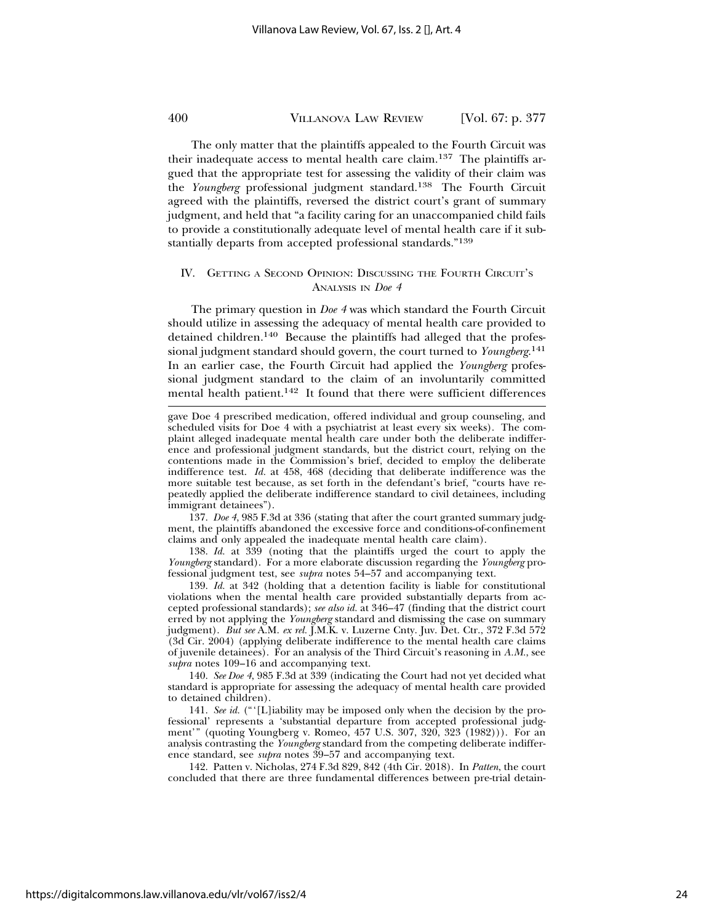The only matter that the plaintiffs appealed to the Fourth Circuit was their inadequate access to mental health care claim.137 The plaintiffs argued that the appropriate test for assessing the validity of their claim was the *Youngberg* professional judgment standard.138 The Fourth Circuit agreed with the plaintiffs, reversed the district court's grant of summary judgment, and held that "a facility caring for an unaccompanied child fails to provide a constitutionally adequate level of mental health care if it substantially departs from accepted professional standards."139

#### IV. GETTING A SECOND OPINION: DISCUSSING THE FOURTH CIRCUIT'S ANALYSIS IN *Doe 4*

The primary question in *Doe 4* was which standard the Fourth Circuit should utilize in assessing the adequacy of mental health care provided to detained children.<sup>140</sup> Because the plaintiffs had alleged that the professional judgment standard should govern, the court turned to *Youngberg*. 141 In an earlier case, the Fourth Circuit had applied the *Youngberg* professional judgment standard to the claim of an involuntarily committed mental health patient.142 It found that there were sufficient differences

137. *Doe 4*, 985 F.3d at 336 (stating that after the court granted summary judgment, the plaintiffs abandoned the excessive force and conditions-of-confinement claims and only appealed the inadequate mental health care claim).

138. *Id.* at 339 (noting that the plaintiffs urged the court to apply the *Youngberg* standard). For a more elaborate discussion regarding the *Youngberg* professional judgment test, see *supra* notes 54–57 and accompanying text.

139. *Id.* at 342 (holding that a detention facility is liable for constitutional violations when the mental health care provided substantially departs from accepted professional standards); *see also id.* at 346–47 (finding that the district court erred by not applying the *Youngberg* standard and dismissing the case on summary judgment). *But see* A.M. *ex rel.* J.M.K. v. Luzerne Cnty. Juv. Det. Ctr., 372 F.3d 572 (3d Cir. 2004) (applying deliberate indifference to the mental health care claims of juvenile detainees). For an analysis of the Third Circuit's reasoning in *A.M.*, see *supra* notes 109–16 and accompanying text.

140. *See Doe 4*, 985 F.3d at 339 (indicating the Court had not yet decided what standard is appropriate for assessing the adequacy of mental health care provided to detained children).

141. *See id.* ("'[L]iability may be imposed only when the decision by the professional' represents a 'substantial departure from accepted professional judgment'" (quoting Youngberg v. Romeo, 457 U.S. 307, 320, 323 (1982))). For an analysis contrasting the *Youngberg* standard from the competing deliberate indifference standard, see *supra* notes 39–57 and accompanying text.

142. Patten v. Nicholas, 274 F.3d 829, 842 (4th Cir. 2018). In *Patten*, the court concluded that there are three fundamental differences between pre-trial detain-

gave Doe 4 prescribed medication, offered individual and group counseling, and scheduled visits for Doe 4 with a psychiatrist at least every six weeks). The complaint alleged inadequate mental health care under both the deliberate indifference and professional judgment standards, but the district court, relying on the contentions made in the Commission's brief, decided to employ the deliberate indifference test. *Id.* at 458, 468 (deciding that deliberate indifference was the more suitable test because, as set forth in the defendant's brief, "courts have repeatedly applied the deliberate indifference standard to civil detainees, including immigrant detainees").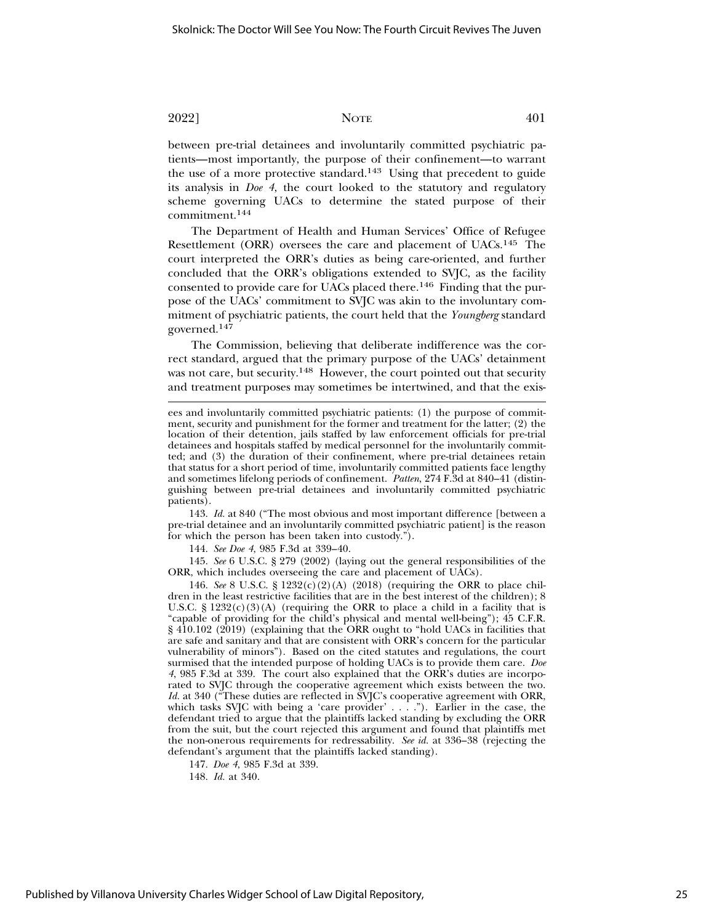between pre-trial detainees and involuntarily committed psychiatric patients—most importantly, the purpose of their confinement—to warrant the use of a more protective standard.<sup>143</sup> Using that precedent to guide its analysis in *Doe 4*, the court looked to the statutory and regulatory scheme governing UACs to determine the stated purpose of their commitment.144

The Department of Health and Human Services' Office of Refugee Resettlement (ORR) oversees the care and placement of UACs.145 The court interpreted the ORR's duties as being care-oriented, and further concluded that the ORR's obligations extended to SVJC, as the facility consented to provide care for UACs placed there.<sup>146</sup> Finding that the purpose of the UACs' commitment to SVJC was akin to the involuntary commitment of psychiatric patients, the court held that the *Youngberg* standard governed.<sup>147</sup>

The Commission, believing that deliberate indifference was the correct standard, argued that the primary purpose of the UACs' detainment was not care, but security.<sup>148</sup> However, the court pointed out that security and treatment purposes may sometimes be intertwined, and that the exis-

143. *Id.* at 840 ("The most obvious and most important difference [between a pre-trial detainee and an involuntarily committed psychiatric patient] is the reason for which the person has been taken into custody.").

144. *See Doe 4*, 985 F.3d at 339–40.

145. *See* 6 U.S.C. § 279 (2002) (laying out the general responsibilities of the ORR, which includes overseeing the care and placement of UACs).

146. *See* 8 U.S.C. § 1232(c)(2)(A) (2018) (requiring the ORR to place children in the least restrictive facilities that are in the best interest of the children); 8 U.S.C. §  $1232(c)(3)(A)$  (requiring the ORR to place a child in a facility that is "capable of providing for the child's physical and mental well-being"); 45 C.F.R. § 410.102 (2019) (explaining that the ORR ought to "hold UACs in facilities that are safe and sanitary and that are consistent with ORR's concern for the particular vulnerability of minors"). Based on the cited statutes and regulations, the court surmised that the intended purpose of holding UACs is to provide them care. *Doe 4*, 985 F.3d at 339. The court also explained that the ORR's duties are incorporated to SVJC through the cooperative agreement which exists between the two. *Id.* at 340 ("These duties are reflected in SVJC's cooperative agreement with ORR, which tasks SVJC with being a 'care provider' . . . ."). Earlier in the case, the defendant tried to argue that the plaintiffs lacked standing by excluding the ORR from the suit, but the court rejected this argument and found that plaintiffs met the non-onerous requirements for redressability. *See id.* at 336–38 (rejecting the defendant's argument that the plaintiffs lacked standing).

147. *Doe 4*, 985 F.3d at 339.

148. *Id.* at 340.

ees and involuntarily committed psychiatric patients: (1) the purpose of commitment, security and punishment for the former and treatment for the latter; (2) the location of their detention, jails staffed by law enforcement officials for pre-trial detainees and hospitals staffed by medical personnel for the involuntarily committed; and (3) the duration of their confinement, where pre-trial detainees retain that status for a short period of time, involuntarily committed patients face lengthy and sometimes lifelong periods of confinement. *Patten*, 274 F.3d at 840–41 (distinguishing between pre-trial detainees and involuntarily committed psychiatric patients).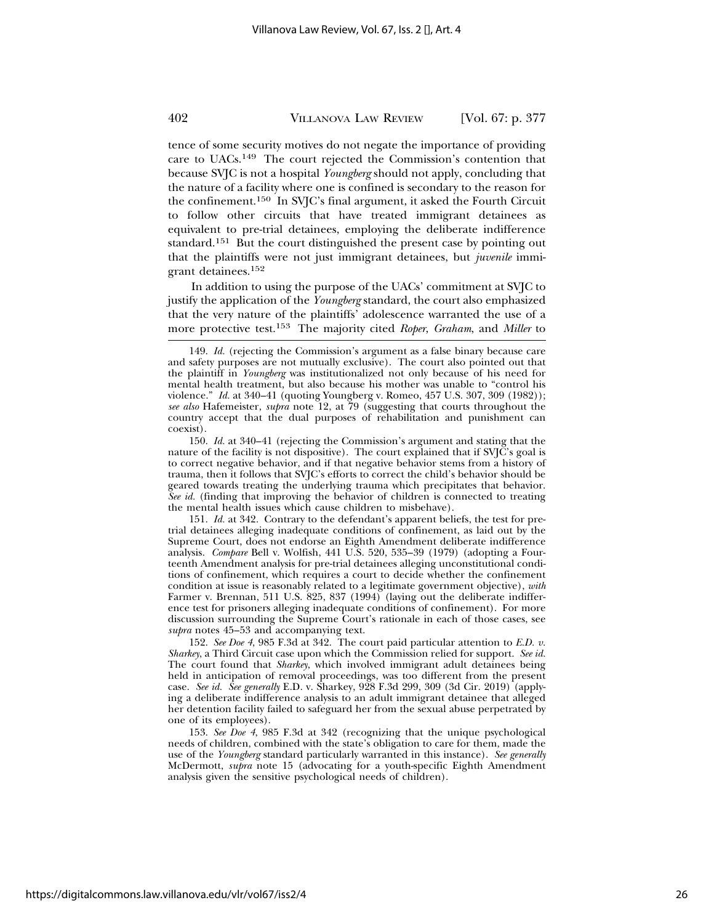tence of some security motives do not negate the importance of providing care to UACs.149 The court rejected the Commission's contention that because SVJC is not a hospital *Youngberg* should not apply, concluding that the nature of a facility where one is confined is secondary to the reason for the confinement.150 In SVJC's final argument, it asked the Fourth Circuit to follow other circuits that have treated immigrant detainees as equivalent to pre-trial detainees, employing the deliberate indifference standard.151 But the court distinguished the present case by pointing out that the plaintiffs were not just immigrant detainees, but *juvenile* immigrant detainees.152

In addition to using the purpose of the UACs' commitment at SVJC to justify the application of the *Youngberg* standard, the court also emphasized that the very nature of the plaintiffs' adolescence warranted the use of a more protective test.153 The majority cited *Roper*, *Graham*, and *Miller* to

151. *Id.* at 342. Contrary to the defendant's apparent beliefs, the test for pretrial detainees alleging inadequate conditions of confinement, as laid out by the Supreme Court, does not endorse an Eighth Amendment deliberate indifference analysis. *Compare* Bell v. Wolfish, 441 U.S. 520, 535–39 (1979) (adopting a Fourteenth Amendment analysis for pre-trial detainees alleging unconstitutional conditions of confinement, which requires a court to decide whether the confinement condition at issue is reasonably related to a legitimate government objective), *with* Farmer v. Brennan, 511 U.S. 825, 837 (1994) (laying out the deliberate indifference test for prisoners alleging inadequate conditions of confinement). For more discussion surrounding the Supreme Court's rationale in each of those cases, see *supra* notes 45–53 and accompanying text.

152. *See Doe 4*, 985 F.3d at 342. The court paid particular attention to *E.D. v. Sharkey*, a Third Circuit case upon which the Commission relied for support. *See id.* The court found that *Sharkey*, which involved immigrant adult detainees being held in anticipation of removal proceedings, was too different from the present case. *See id. See generally* E.D. v. Sharkey, 928 F.3d 299, 309 (3d Cir. 2019) (applying a deliberate indifference analysis to an adult immigrant detainee that alleged her detention facility failed to safeguard her from the sexual abuse perpetrated by one of its employees).

153. *See Doe 4*, 985 F.3d at 342 (recognizing that the unique psychological needs of children, combined with the state's obligation to care for them, made the use of the *Youngberg* standard particularly warranted in this instance). *See generally* McDermott, *supra* note 15 (advocating for a youth-specific Eighth Amendment analysis given the sensitive psychological needs of children).

<sup>149.</sup> *Id.* (rejecting the Commission's argument as a false binary because care and safety purposes are not mutually exclusive). The court also pointed out that the plaintiff in *Youngberg* was institutionalized not only because of his need for mental health treatment, but also because his mother was unable to "control his violence." *Id.* at 340–41 (quoting Youngberg v. Romeo, 457 U.S. 307, 309 (1982)); *see also* Hafemeister, *supra* note 12, at 79 (suggesting that courts throughout the country accept that the dual purposes of rehabilitation and punishment can coexist).

<sup>150.</sup> *Id.* at 340–41 (rejecting the Commission's argument and stating that the nature of the facility is not dispositive). The court explained that if SVJC's goal is to correct negative behavior, and if that negative behavior stems from a history of trauma, then it follows that SVJC's efforts to correct the child's behavior should be geared towards treating the underlying trauma which precipitates that behavior. *See id.* (finding that improving the behavior of children is connected to treating the mental health issues which cause children to misbehave).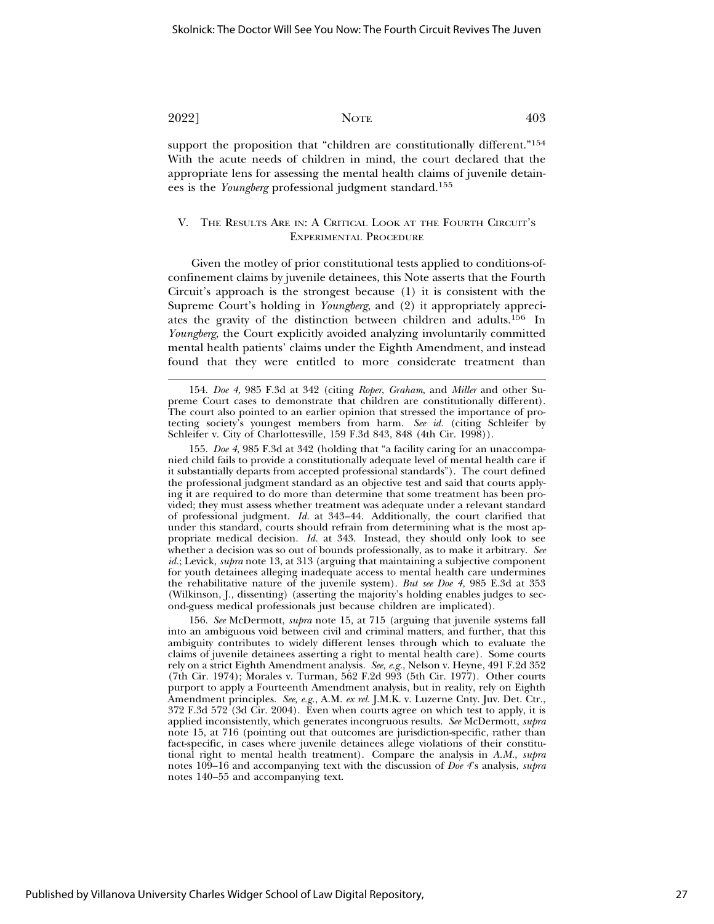support the proposition that "children are constitutionally different."<sup>154</sup> With the acute needs of children in mind, the court declared that the appropriate lens for assessing the mental health claims of juvenile detainees is the *Youngberg* professional judgment standard.155

#### V. THE RESULTS ARE IN: A CRITICAL LOOK AT THE FOURTH CIRCUIT'S EXPERIMENTAL PROCEDURE

Given the motley of prior constitutional tests applied to conditions-ofconfinement claims by juvenile detainees, this Note asserts that the Fourth Circuit's approach is the strongest because (1) it is consistent with the Supreme Court's holding in *Youngberg*, and (2) it appropriately appreciates the gravity of the distinction between children and adults.156 In *Youngberg*, the Court explicitly avoided analyzing involuntarily committed mental health patients' claims under the Eighth Amendment, and instead found that they were entitled to more considerate treatment than

155. *Doe 4*, 985 F.3d at 342 (holding that "a facility caring for an unaccompanied child fails to provide a constitutionally adequate level of mental health care if it substantially departs from accepted professional standards"). The court defined the professional judgment standard as an objective test and said that courts applying it are required to do more than determine that some treatment has been provided; they must assess whether treatment was adequate under a relevant standard of professional judgment. *Id.* at 343–44. Additionally, the court clarified that under this standard, courts should refrain from determining what is the most appropriate medical decision. *Id.* at 343. Instead, they should only look to see whether a decision was so out of bounds professionally, as to make it arbitrary. *See* id.; Levick, *supra* note 13, at 313 (arguing that maintaining a subjective component for youth detainees alleging inadequate access to mental health care undermines the rehabilitative nature of the juvenile system). *But see Doe 4*, 985 E.3d at 353 (Wilkinson, J., dissenting) (asserting the majority's holding enables judges to second-guess medical professionals just because children are implicated).

156. *See* McDermott, *supra* note 15, at 715 (arguing that juvenile systems fall into an ambiguous void between civil and criminal matters, and further, that this ambiguity contributes to widely different lenses through which to evaluate the claims of juvenile detainees asserting a right to mental health care). Some courts rely on a strict Eighth Amendment analysis. *See, e.g.*, Nelson v. Heyne, 491 F.2d 352 (7th Cir. 1974); Morales v. Turman, 562 F.2d 993 (5th Cir. 1977). Other courts purport to apply a Fourteenth Amendment analysis, but in reality, rely on Eighth Amendment principles. *See, e.g.*, A.M. *ex rel.* J.M.K. v. Luzerne Cnty. Juv. Det. Ctr., 372 F.3d 572 (3d Cir. 2004). Even when courts agree on which test to apply, it is applied inconsistently, which generates incongruous results. *See* McDermott, *supra* note 15, at 716 (pointing out that outcomes are jurisdiction-specific, rather than fact-specific, in cases where juvenile detainees allege violations of their constitutional right to mental health treatment). Compare the analysis in *A.M.*, *supra* notes 109–16 and accompanying text with the discussion of *Doe 4*'s analysis, *supra* notes 140–55 and accompanying text.

<sup>154.</sup> *Doe 4*, 985 F.3d at 342 (citing *Roper*, *Graham*, and *Miller* and other Supreme Court cases to demonstrate that children are constitutionally different). The court also pointed to an earlier opinion that stressed the importance of protecting society's youngest members from harm. *See id.* (citing Schleifer by Schleifer v. City of Charlottesville, 159 F.3d 843, 848 (4th Cir. 1998)).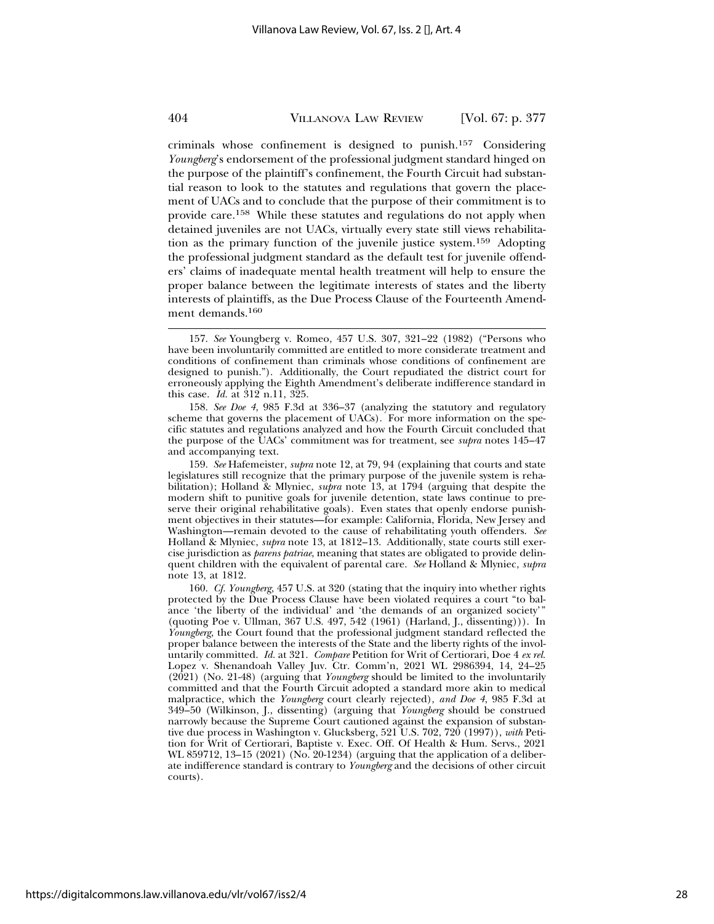criminals whose confinement is designed to punish.157 Considering *Youngberg*'s endorsement of the professional judgment standard hinged on the purpose of the plaintiff's confinement, the Fourth Circuit had substantial reason to look to the statutes and regulations that govern the placement of UACs and to conclude that the purpose of their commitment is to provide care.158 While these statutes and regulations do not apply when detained juveniles are not UACs, virtually every state still views rehabilitation as the primary function of the juvenile justice system.159 Adopting the professional judgment standard as the default test for juvenile offenders' claims of inadequate mental health treatment will help to ensure the proper balance between the legitimate interests of states and the liberty interests of plaintiffs, as the Due Process Clause of the Fourteenth Amendment demands.<sup>160</sup>

158. *See Doe 4*, 985 F.3d at 336–37 (analyzing the statutory and regulatory scheme that governs the placement of UACs). For more information on the specific statutes and regulations analyzed and how the Fourth Circuit concluded that the purpose of the UACs' commitment was for treatment, see *supra* notes 145–47 and accompanying text.

159. *See* Hafemeister, *supra* note 12, at 79, 94 (explaining that courts and state legislatures still recognize that the primary purpose of the juvenile system is rehabilitation); Holland & Mlyniec, *supra* note 13, at 1794 (arguing that despite the modern shift to punitive goals for juvenile detention, state laws continue to preserve their original rehabilitative goals). Even states that openly endorse punishment objectives in their statutes—for example: California, Florida, New Jersey and Washington—remain devoted to the cause of rehabilitating youth offenders. *See* Holland & Mlyniec, *supra* note 13, at 1812–13. Additionally, state courts still exercise jurisdiction as *parens patriae*, meaning that states are obligated to provide delinquent children with the equivalent of parental care. *See* Holland & Mlyniec, *supra* note 13, at 1812.

160. *Cf. Youngberg*, 457 U.S. at 320 (stating that the inquiry into whether rights protected by the Due Process Clause have been violated requires a court "to balance 'the liberty of the individual' and 'the demands of an organized society'" (quoting Poe v. Ullman, 367 U.S. 497, 542 (1961) (Harland, J., dissenting))). In *Youngberg*, the Court found that the professional judgment standard reflected the proper balance between the interests of the State and the liberty rights of the involuntarily committed. *Id.* at 321. *Compare* Petition for Writ of Certiorari, Doe 4 *ex rel.* Lopez v. Shenandoah Valley Juv. Ctr. Comm'n, 2021 WL 2986394, 14, 24–25 (2021) (No. 21-48) (arguing that *Youngberg* should be limited to the involuntarily committed and that the Fourth Circuit adopted a standard more akin to medical malpractice, which the *Youngberg* court clearly rejected), *and Doe 4*, 985 F.3d at 349–50 (Wilkinson, J., dissenting) (arguing that *Youngberg* should be construed narrowly because the Supreme Court cautioned against the expansion of substantive due process in Washington v. Glucksberg, 521 U.S. 702, 720 (1997)), *with* Petition for Writ of Certiorari, Baptiste v. Exec. Off. Of Health & Hum. Servs., 2021 WL 859712, 13–15 (2021) (No. 20-1234) (arguing that the application of a deliberate indifference standard is contrary to *Youngberg* and the decisions of other circuit courts).

<sup>157.</sup> *See* Youngberg v. Romeo, 457 U.S. 307, 321–22 (1982) ("Persons who have been involuntarily committed are entitled to more considerate treatment and conditions of confinement than criminals whose conditions of confinement are designed to punish."). Additionally, the Court repudiated the district court for erroneously applying the Eighth Amendment's deliberate indifference standard in this case. *Id.* at 312 n.11, 325.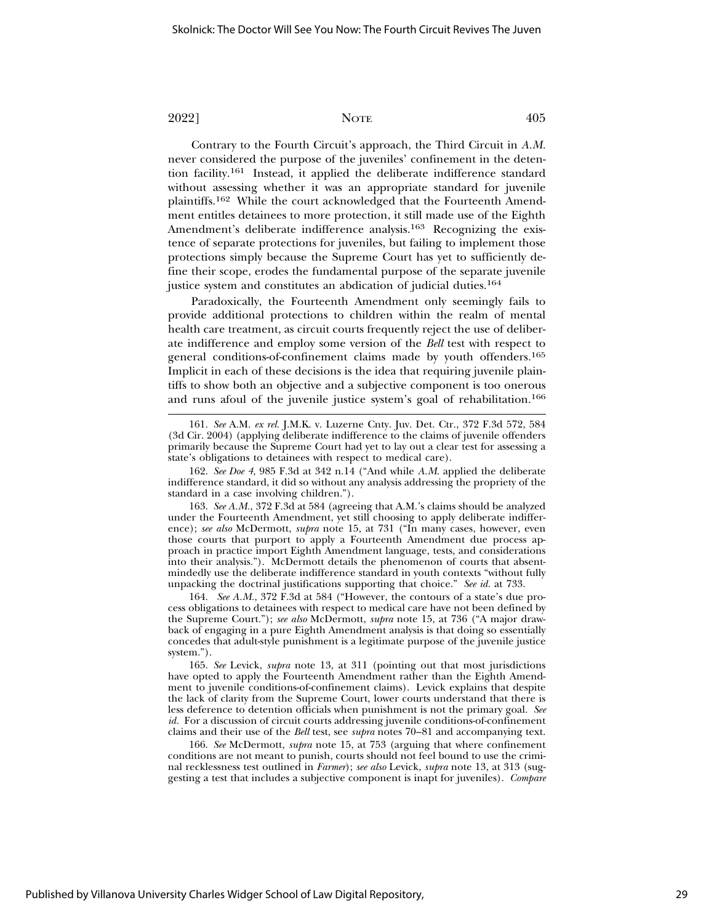Contrary to the Fourth Circuit's approach, the Third Circuit in *A.M.* never considered the purpose of the juveniles' confinement in the detention facility.161 Instead, it applied the deliberate indifference standard without assessing whether it was an appropriate standard for juvenile plaintiffs.162 While the court acknowledged that the Fourteenth Amendment entitles detainees to more protection, it still made use of the Eighth Amendment's deliberate indifference analysis.<sup>163</sup> Recognizing the existence of separate protections for juveniles, but failing to implement those protections simply because the Supreme Court has yet to sufficiently define their scope, erodes the fundamental purpose of the separate juvenile justice system and constitutes an abdication of judicial duties.<sup>164</sup>

Paradoxically, the Fourteenth Amendment only seemingly fails to provide additional protections to children within the realm of mental health care treatment, as circuit courts frequently reject the use of deliberate indifference and employ some version of the *Bell* test with respect to general conditions-of-confinement claims made by youth offenders.165 Implicit in each of these decisions is the idea that requiring juvenile plaintiffs to show both an objective and a subjective component is too onerous and runs afoul of the juvenile justice system's goal of rehabilitation.166

163. *See A.M.*, 372 F.3d at 584 (agreeing that A.M.'s claims should be analyzed under the Fourteenth Amendment, yet still choosing to apply deliberate indifference); *see also* McDermott, *supra* note 15, at 731 ("In many cases, however, even those courts that purport to apply a Fourteenth Amendment due process approach in practice import Eighth Amendment language, tests, and considerations into their analysis."). McDermott details the phenomenon of courts that absentmindedly use the deliberate indifference standard in youth contexts "without fully unpacking the doctrinal justifications supporting that choice." *See id.* at 733.

164. *See A.M.*, 372 F.3d at 584 ("However, the contours of a state's due process obligations to detainees with respect to medical care have not been defined by the Supreme Court."); *see also* McDermott, *supra* note 15, at 736 ("A major drawback of engaging in a pure Eighth Amendment analysis is that doing so essentially concedes that adult-style punishment is a legitimate purpose of the juvenile justice system.").

165. *See* Levick, *supra* note 13, at 311 (pointing out that most jurisdictions have opted to apply the Fourteenth Amendment rather than the Eighth Amendment to juvenile conditions-of-confinement claims). Levick explains that despite the lack of clarity from the Supreme Court, lower courts understand that there is less deference to detention officials when punishment is not the primary goal. *See id.* For a discussion of circuit courts addressing juvenile conditions-of-confinement claims and their use of the *Bell* test, see *supra* notes 70–81 and accompanying text.

166. *See* McDermott, *supra* note 15, at 753 (arguing that where confinement conditions are not meant to punish, courts should not feel bound to use the criminal recklessness test outlined in *Farmer*); *see also* Levick, *supra* note 13, at 313 (suggesting a test that includes a subjective component is inapt for juveniles). *Compare*

<sup>161.</sup> *See* A.M. *ex rel.* J.M.K. v. Luzerne Cnty. Juv. Det. Ctr., 372 F.3d 572, 584 (3d Cir. 2004) (applying deliberate indifference to the claims of juvenile offenders primarily because the Supreme Court had yet to lay out a clear test for assessing a state's obligations to detainees with respect to medical care).

<sup>162.</sup> *See Doe 4*, 985 F.3d at 342 n.14 ("And while *A.M*. applied the deliberate indifference standard, it did so without any analysis addressing the propriety of the standard in a case involving children.").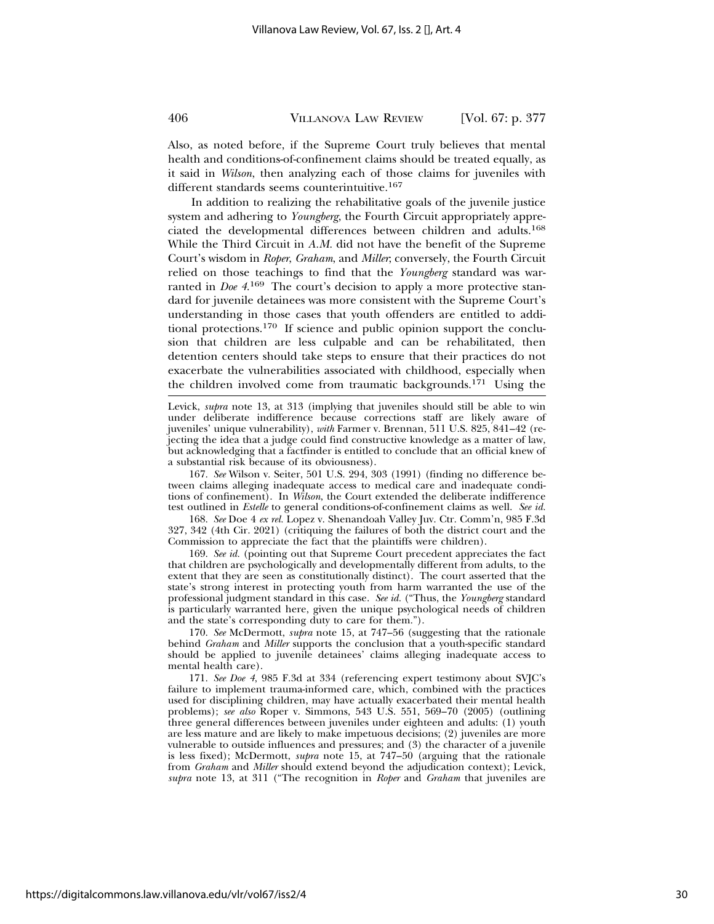Also, as noted before, if the Supreme Court truly believes that mental health and conditions-of-confinement claims should be treated equally, as it said in *Wilson*, then analyzing each of those claims for juveniles with different standards seems counterintuitive.<sup>167</sup>

In addition to realizing the rehabilitative goals of the juvenile justice system and adhering to *Youngberg*, the Fourth Circuit appropriately appreciated the developmental differences between children and adults.168 While the Third Circuit in *A.M.* did not have the benefit of the Supreme Court's wisdom in *Roper*, *Graham*, and *Miller*; conversely, the Fourth Circuit relied on those teachings to find that the *Youngberg* standard was warranted in *Doe* 4.<sup>169</sup> The court's decision to apply a more protective standard for juvenile detainees was more consistent with the Supreme Court's understanding in those cases that youth offenders are entitled to additional protections.170 If science and public opinion support the conclusion that children are less culpable and can be rehabilitated, then detention centers should take steps to ensure that their practices do not exacerbate the vulnerabilities associated with childhood, especially when the children involved come from traumatic backgrounds.171 Using the

Levick, *supra* note 13, at 313 (implying that juveniles should still be able to win under deliberate indifference because corrections staff are likely aware of juveniles' unique vulnerability), *with* Farmer v. Brennan, 511 U.S. 825, 841–42 (rejecting the idea that a judge could find constructive knowledge as a matter of law, but acknowledging that a factfinder is entitled to conclude that an official knew of a substantial risk because of its obviousness).

167. *See* Wilson v. Seiter, 501 U.S. 294, 303 (1991) (finding no difference between claims alleging inadequate access to medical care and inadequate conditions of confinement). In *Wilson*, the Court extended the deliberate indifference test outlined in *Estelle* to general conditions-of-confinement claims as well. *See id.*

168. *See* Doe 4 *ex rel.* Lopez v. Shenandoah Valley Juv. Ctr. Comm'n, 985 F.3d 327, 342 (4th Cir. 2021) (critiquing the failures of both the district court and the Commission to appreciate the fact that the plaintiffs were children).

169. *See id.* (pointing out that Supreme Court precedent appreciates the fact that children are psychologically and developmentally different from adults, to the extent that they are seen as constitutionally distinct). The court asserted that the state's strong interest in protecting youth from harm warranted the use of the professional judgment standard in this case. *See id.* ("Thus, the *Youngberg* standard is particularly warranted here, given the unique psychological needs of children and the state's corresponding duty to care for them.").

170. *See* McDermott, *supra* note 15, at 747–56 (suggesting that the rationale behind *Graham* and *Miller* supports the conclusion that a youth-specific standard should be applied to juvenile detainees' claims alleging inadequate access to mental health care).

171. *See Doe 4*, 985 F.3d at 334 (referencing expert testimony about SVJC's failure to implement trauma-informed care, which, combined with the practices used for disciplining children, may have actually exacerbated their mental health problems); *see also* Roper v. Simmons, 543 U.S. 551, 569–70 (2005) (outlining three general differences between juveniles under eighteen and adults: (1) youth are less mature and are likely to make impetuous decisions; (2) juveniles are more vulnerable to outside influences and pressures; and (3) the character of a juvenile is less fixed); McDermott, *supra* note 15, at 747–50 (arguing that the rationale from *Graham* and *Miller* should extend beyond the adjudication context); Levick, *supra* note 13, at 311 ("The recognition in *Roper* and *Graham* that juveniles are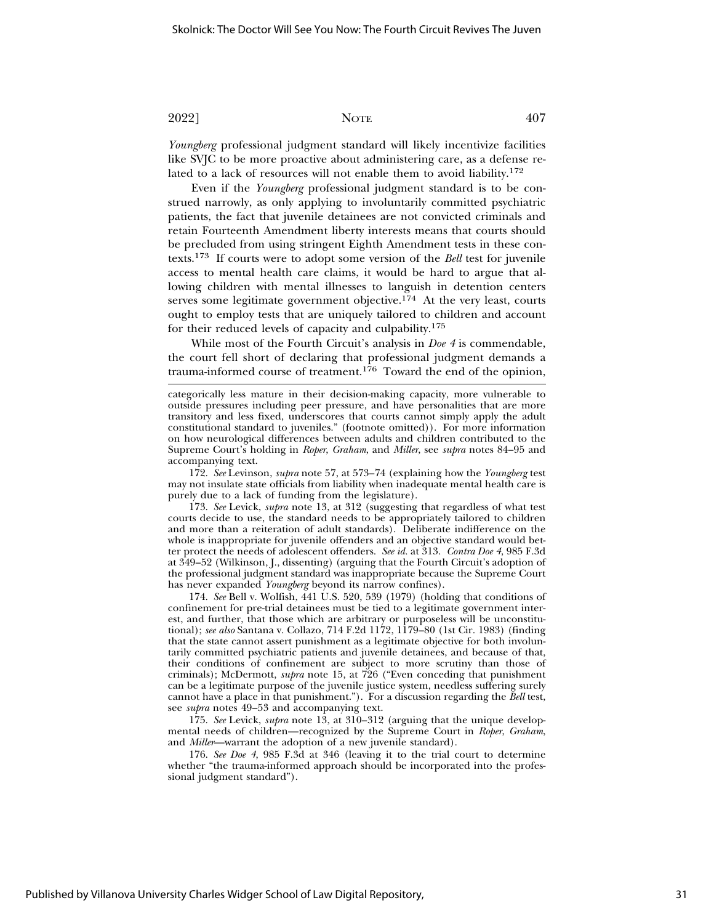*Youngberg* professional judgment standard will likely incentivize facilities like SVJC to be more proactive about administering care, as a defense related to a lack of resources will not enable them to avoid liability.172

Even if the *Youngberg* professional judgment standard is to be construed narrowly, as only applying to involuntarily committed psychiatric patients, the fact that juvenile detainees are not convicted criminals and retain Fourteenth Amendment liberty interests means that courts should be precluded from using stringent Eighth Amendment tests in these contexts.173 If courts were to adopt some version of the *Bell* test for juvenile access to mental health care claims, it would be hard to argue that allowing children with mental illnesses to languish in detention centers serves some legitimate government objective.<sup>174</sup> At the very least, courts ought to employ tests that are uniquely tailored to children and account for their reduced levels of capacity and culpability.175

While most of the Fourth Circuit's analysis in *Doe 4* is commendable, the court fell short of declaring that professional judgment demands a trauma-informed course of treatment.176 Toward the end of the opinion,

172. *See* Levinson, *supra* note 57, at 573–74 (explaining how the *Youngberg* test may not insulate state officials from liability when inadequate mental health care is purely due to a lack of funding from the legislature).

173. *See* Levick, *supra* note 13, at 312 (suggesting that regardless of what test courts decide to use, the standard needs to be appropriately tailored to children and more than a reiteration of adult standards). Deliberate indifference on the whole is inappropriate for juvenile offenders and an objective standard would better protect the needs of adolescent offenders. *See id.* at 313. *Contra Doe 4*, 985 F.3d at 349–52 (Wilkinson, J., dissenting) (arguing that the Fourth Circuit's adoption of the professional judgment standard was inappropriate because the Supreme Court has never expanded *Youngberg* beyond its narrow confines).

174. *See* Bell v. Wolfish, 441 U.S. 520, 539 (1979) (holding that conditions of confinement for pre-trial detainees must be tied to a legitimate government interest, and further, that those which are arbitrary or purposeless will be unconstitutional); *see also* Santana v. Collazo, 714 F.2d 1172, 1179–80 (1st Cir. 1983) (finding that the state cannot assert punishment as a legitimate objective for both involuntarily committed psychiatric patients and juvenile detainees, and because of that, their conditions of confinement are subject to more scrutiny than those of criminals); McDermott, *supra* note 15, at 726 ("Even conceding that punishment can be a legitimate purpose of the juvenile justice system, needless suffering surely cannot have a place in that punishment."). For a discussion regarding the *Bell* test, see *supra* notes 49–53 and accompanying text.

175. *See* Levick, *supra* note 13, at 310–312 (arguing that the unique developmental needs of children—recognized by the Supreme Court in *Roper*, *Graham*, and *Miller*—warrant the adoption of a new juvenile standard).

176. *See Doe 4*, 985 F.3d at 346 (leaving it to the trial court to determine whether "the trauma-informed approach should be incorporated into the professional judgment standard").

categorically less mature in their decision-making capacity, more vulnerable to outside pressures including peer pressure, and have personalities that are more transitory and less fixed, underscores that courts cannot simply apply the adult constitutional standard to juveniles." (footnote omitted)). For more information on how neurological differences between adults and children contributed to the Supreme Court's holding in *Roper*, *Graham*, and *Miller*, see *supra* notes 84–95 and accompanying text.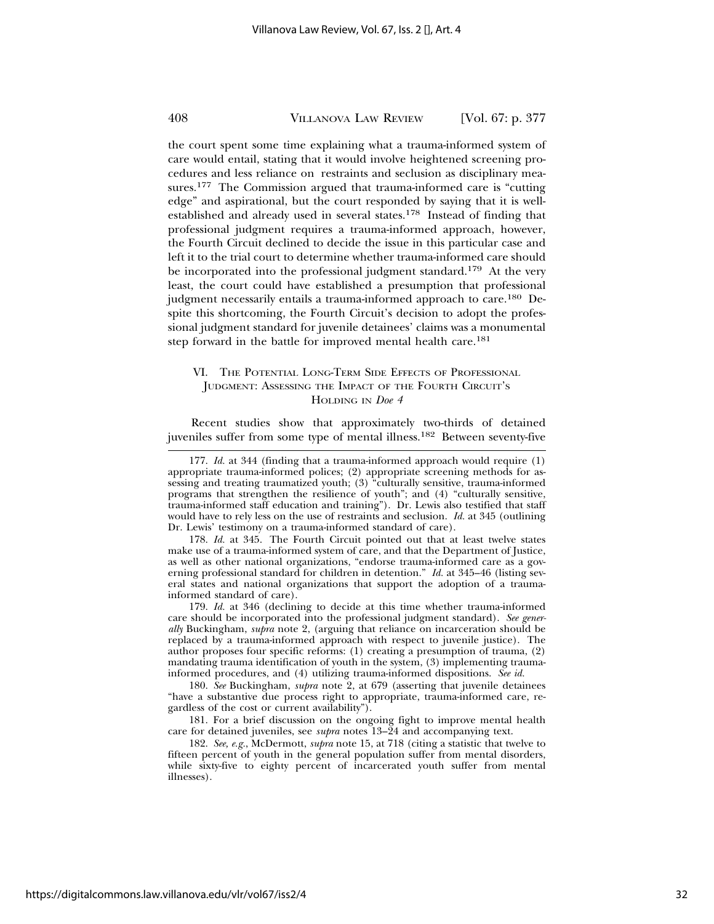the court spent some time explaining what a trauma-informed system of care would entail, stating that it would involve heightened screening procedures and less reliance on restraints and seclusion as disciplinary measures.177 The Commission argued that trauma-informed care is "cutting edge" and aspirational, but the court responded by saying that it is wellestablished and already used in several states.178 Instead of finding that professional judgment requires a trauma-informed approach, however, the Fourth Circuit declined to decide the issue in this particular case and left it to the trial court to determine whether trauma-informed care should be incorporated into the professional judgment standard.<sup>179</sup> At the very least, the court could have established a presumption that professional judgment necessarily entails a trauma-informed approach to care.<sup>180</sup> Despite this shortcoming, the Fourth Circuit's decision to adopt the professional judgment standard for juvenile detainees' claims was a monumental step forward in the battle for improved mental health care.<sup>181</sup>

#### VI. THE POTENTIAL LONG-TERM SIDE EFFECTS OF PROFESSIONAL JUDGMENT: ASSESSING THE IMPACT OF THE FOURTH CIRCUIT'S HOLDING IN *Doe 4*

Recent studies show that approximately two-thirds of detained juveniles suffer from some type of mental illness.182 Between seventy-five

178. *Id.* at 345. The Fourth Circuit pointed out that at least twelve states make use of a trauma-informed system of care, and that the Department of Justice, as well as other national organizations, "endorse trauma-informed care as a governing professional standard for children in detention." *Id.* at 345–46 (listing several states and national organizations that support the adoption of a traumainformed standard of care).

179. *Id.* at 346 (declining to decide at this time whether trauma-informed care should be incorporated into the professional judgment standard). *See generally* Buckingham, *supra* note 2, (arguing that reliance on incarceration should be replaced by a trauma-informed approach with respect to juvenile justice). The author proposes four specific reforms: (1) creating a presumption of trauma, (2) mandating trauma identification of youth in the system, (3) implementing traumainformed procedures, and (4) utilizing trauma-informed dispositions. *See id.*

180. *See* Buckingham, *supra* note 2, at 679 (asserting that juvenile detainees "have a substantive due process right to appropriate, trauma-informed care, regardless of the cost or current availability").

181. For a brief discussion on the ongoing fight to improve mental health care for detained juveniles, see *supra* notes 13–24 and accompanying text.

182. *See, e.g.*, McDermott, *supra* note 15, at 718 (citing a statistic that twelve to fifteen percent of youth in the general population suffer from mental disorders, while sixty-five to eighty percent of incarcerated youth suffer from mental illnesses).

<sup>177.</sup> *Id.* at 344 (finding that a trauma-informed approach would require (1) appropriate trauma-informed polices; (2) appropriate screening methods for assessing and treating traumatized youth; (3) "culturally sensitive, trauma-informed programs that strengthen the resilience of youth"; and (4) "culturally sensitive, trauma-informed staff education and training"). Dr. Lewis also testified that staff would have to rely less on the use of restraints and seclusion. *Id.* at 345 (outlining Dr. Lewis' testimony on a trauma-informed standard of care).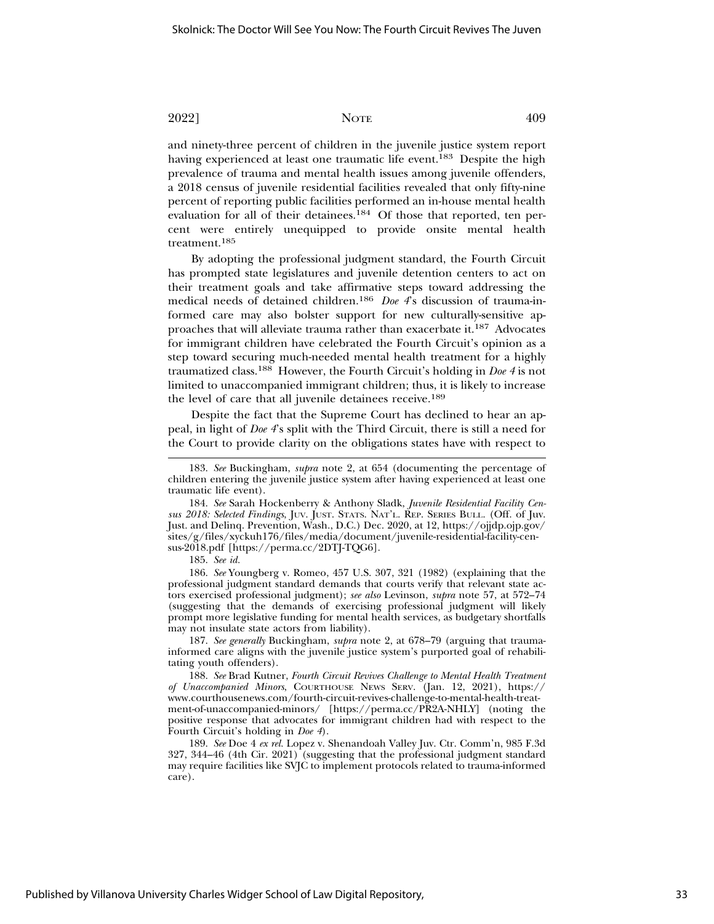and ninety-three percent of children in the juvenile justice system report having experienced at least one traumatic life event.<sup>183</sup> Despite the high prevalence of trauma and mental health issues among juvenile offenders, a 2018 census of juvenile residential facilities revealed that only fifty-nine percent of reporting public facilities performed an in-house mental health evaluation for all of their detainees.184 Of those that reported, ten percent were entirely unequipped to provide onsite mental health treatment.185

By adopting the professional judgment standard, the Fourth Circuit has prompted state legislatures and juvenile detention centers to act on their treatment goals and take affirmative steps toward addressing the medical needs of detained children.186 *Doe 4*'s discussion of trauma-informed care may also bolster support for new culturally-sensitive approaches that will alleviate trauma rather than exacerbate it.187 Advocates for immigrant children have celebrated the Fourth Circuit's opinion as a step toward securing much-needed mental health treatment for a highly traumatized class.188 However, the Fourth Circuit's holding in *Doe 4* is not limited to unaccompanied immigrant children; thus, it is likely to increase the level of care that all juvenile detainees receive.189

Despite the fact that the Supreme Court has declined to hear an appeal, in light of *Doe 4*'s split with the Third Circuit, there is still a need for the Court to provide clarity on the obligations states have with respect to

184. *See* Sarah Hockenberry & Anthony Sladk, *Juvenile Residential Facility Census 2018: Selected Findings*, JUV. JUST. STATS. NAT'L. REP. SERIES BULL. (Off. of Juv. Just. and Delinq. Prevention, Wash., D.C.) Dec. 2020, at 12, https://ojjdp.ojp.gov/ sites/g/files/xyckuh176/files/media/document/juvenile-residential-facility-census-2018.pdf [https://perma.cc/2DTJ-TQG6].

185. *See id.*

186. *See* Youngberg v. Romeo, 457 U.S. 307, 321 (1982) (explaining that the professional judgment standard demands that courts verify that relevant state actors exercised professional judgment); *see also* Levinson, *supra* note 57, at 572–74 (suggesting that the demands of exercising professional judgment will likely prompt more legislative funding for mental health services, as budgetary shortfalls may not insulate state actors from liability).

187. *See generally* Buckingham, *supra* note 2, at 678–79 (arguing that traumainformed care aligns with the juvenile justice system's purported goal of rehabilitating youth offenders).

188. *See* Brad Kutner, *Fourth Circuit Revives Challenge to Mental Health Treatment of Unaccompanied Minors*, COURTHOUSE NEWS SERV. (Jan. 12, 2021), https:// www.courthousenews.com/fourth-circuit-revives-challenge-to-mental-health-treatment-of-unaccompanied-minors/ [https://perma.cc/PR2A-NHLY] (noting the positive response that advocates for immigrant children had with respect to the Fourth Circuit's holding in *Doe 4*).

189. *See* Doe 4 *ex rel.* Lopez v. Shenandoah Valley Juv. Ctr. Comm'n, 985 F.3d 327, 344–46 (4th Cir. 2021) (suggesting that the professional judgment standard may require facilities like SVJC to implement protocols related to trauma-informed care).

<sup>183.</sup> *See* Buckingham, *supra* note 2, at 654 (documenting the percentage of children entering the juvenile justice system after having experienced at least one traumatic life event).